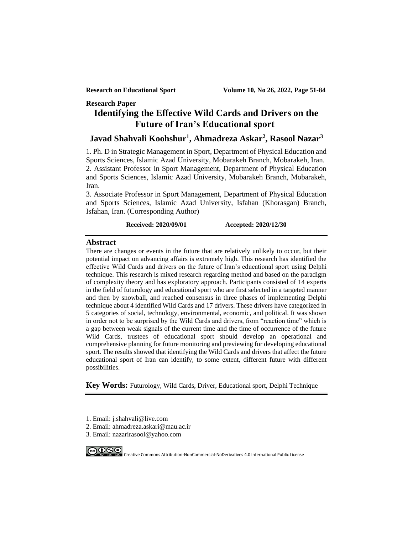# **Research Paper Identifying the Effective Wild Cards and Drivers on the Future of Iran's Educational sport<sup>1</sup>**

# **Javad Shahvali Koohshur<sup>1</sup> , Ahmadreza Askar<sup>2</sup> , Rasool Nazar<sup>3</sup>**

1. Ph. D in Strategic Management in Sport, Department of Physical Education and Sports Sciences, Islamic Azad University, Mobarakeh Branch, Mobarakeh, Iran. 2. Assistant Professor in Sport Management, Department of Physical Education and Sports Sciences, Islamic Azad University, Mobarakeh Branch, Mobarakeh, Iran.

3. Associate Professor in Sport Management, Department of Physical Education and Sports Sciences, Islamic Azad University, Isfahan (Khorasgan) Branch, Isfahan, Iran. (Corresponding Author)

### **Received: 2020/09/01 Accepted: 2020/12/30**

#### **Abstract**

There are changes or events in the future that are relatively unlikely to occur, but their potential impact on advancing affairs is extremely high. This research has identified the effective Wild Cards and drivers on the future of Iran's educational sport using Delphi technique. This research is mixed research regarding method and based on the paradigm of complexity theory and has exploratory approach. Participants consisted of 14 experts in the field of futurology and educational sport who are first selected in a targeted manner and then by snowball, and reached consensus in three phases of implementing Delphi technique about 4 identified Wild Cards and 17 drivers. These drivers have categorized in 5 categories of social, technology, environmental, economic, and political. It was shown in order not to be surprised by the Wild Cards and drivers, from "reaction time" which is a gap between weak signals of the current time and the time of occurrence of the future Wild Cards, trustees of educational sport should develop an operational and comprehensive planning for future monitoring and previewing for developing educational sport. The results showed that identifying the Wild Cards and drivers that affect the future educational sport of Iran can identify, to some extent, different future with different possibilities.

**Key Words:** Futurology, Wild Cards, Driver, Educational sport, Delphi Technique

<sup>3.</sup> Email: nazarirasool@yahoo.com



COOSS International Public License Commons Attribution-NonCommercial-NoDerivatives 4.0 International Public License

<sup>1.</sup> Email: j.shahvali@live.com

<sup>2.</sup> Email: ahmadreza.askari@mau.ac.ir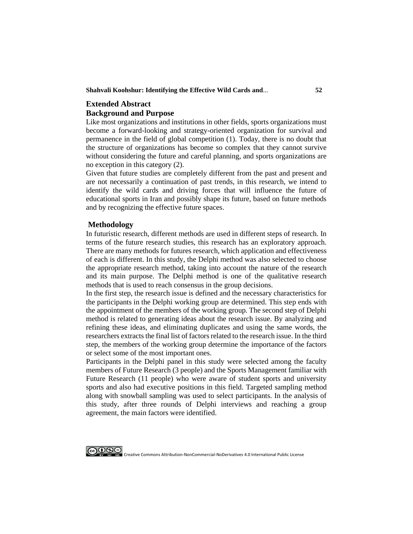#### **Shahvali Koohshur: Identifying the Effective Wild Cards and**... **52**

# **Extended Abstract Background and Purpose**

Like most organizations and institutions in other fields, sports organizations must become a forward-looking and strategy-oriented organization for survival and permanence in the field of global competition (1). Today, there is no doubt that the structure of organizations has become so complex that they cannot survive without considering the future and careful planning, and sports organizations are no exception in this category (2).

Given that future studies are completely different from the past and present and are not necessarily a continuation of past trends, in this research, we intend to identify the wild cards and driving forces that will influence the future of educational sports in Iran and possibly shape its future, based on future methods and by recognizing the effective future spaces.

### **Methodology**

In futuristic research, different methods are used in different steps of research. In terms of the future research studies, this research has an exploratory approach. There are many methods for futures research, which application and effectiveness of each is different. In this study, the Delphi method was also selected to choose the appropriate research method, taking into account the nature of the research and its main purpose. The Delphi method is one of the qualitative research methods that is used to reach consensus in the group decisions.

In the first step, the research issue is defined and the necessary characteristics for the participants in the Delphi working group are determined. This step ends with the appointment of the members of the working group. The second step of Delphi method is related to generating ideas about the research issue. By analyzing and refining these ideas, and eliminating duplicates and using the same words, the researchers extracts the final list of factors related to the research issue. In the third step, the members of the working group determine the importance of the factors or select some of the most important ones.

Participants in the Delphi panel in this study were selected among the faculty members of Future Research (3 people) and the Sports Management familiar with Future Research (11 people) who were aware of student sports and university sports and also had executive positions in this field. Targeted sampling method along with snowball sampling was used to select participants. In the analysis of this study, after three rounds of Delphi interviews and reaching a group agreement, the main factors were identified.

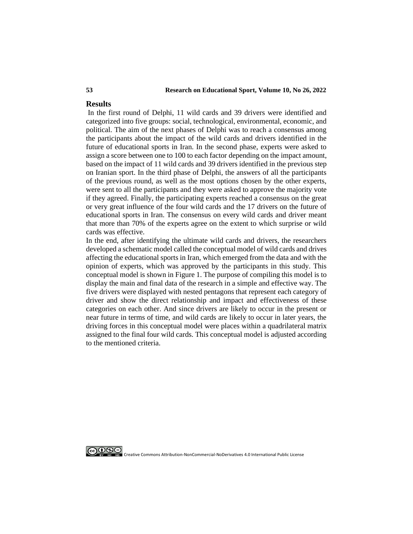#### **53 Research on Educational Sport, Volume 10, No 26, 2022**

# **Results**

In the first round of Delphi, 11 wild cards and 39 drivers were identified and categorized into five groups: social, technological, environmental, economic, and political. The aim of the next phases of Delphi was to reach a consensus among the participants about the impact of the wild cards and drivers identified in the future of educational sports in Iran. In the second phase, experts were asked to assign a score between one to 100 to each factor depending on the impact amount, based on the impact of 11 wild cards and 39 drivers identified in the previous step on Iranian sport. In the third phase of Delphi, the answers of all the participants of the previous round, as well as the most options chosen by the other experts, were sent to all the participants and they were asked to approve the majority vote if they agreed. Finally, the participating experts reached a consensus on the great or very great influence of the four wild cards and the 17 drivers on the future of educational sports in Iran. The consensus on every wild cards and driver meant that more than 70% of the experts agree on the extent to which surprise or wild cards was effective.

In the end, after identifying the ultimate wild cards and drivers, the researchers developed a schematic model called the conceptual model of wild cards and drives affecting the educational sports in Iran, which emerged from the data and with the opinion of experts, which was approved by the participants in this study. This conceptual model is shown in Figure 1. The purpose of compiling this model is to display the main and final data of the research in a simple and effective way. The five drivers were displayed with nested pentagons that represent each category of driver and show the direct relationship and impact and effectiveness of these categories on each other. And since drivers are likely to occur in the present or near future in terms of time, and wild cards are likely to occur in later years, the driving forces in this conceptual model were places within a quadrilateral matrix assigned to the final four wild cards. This conceptual model is adjusted according to the mentioned criteria.

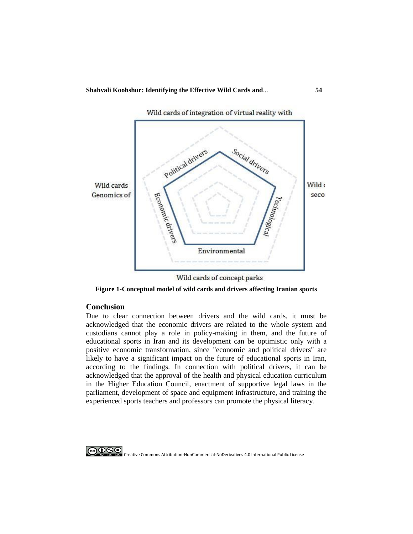

Wild cards of integration of virtual reality with

Wild cards of concept parks

**Figure 1-Conceptual model of wild cards and drivers affecting Iranian sports**

# **Conclusion**

Due to clear connection between drivers and the wild cards, it must be acknowledged that the economic drivers are related to the whole system and custodians cannot play a role in policy-making in them, and the future of educational sports in Iran and its development can be optimistic only with a positive economic transformation, since "economic and political drivers" are likely to have a significant impact on the future of educational sports in Iran, according to the findings. In connection with political drivers, it can be acknowledged that the approval of the health and physical education curriculum in the Higher Education Council, enactment of supportive legal laws in the parliament, development of space and equipment infrastructure, and training the experienced sports teachers and professors can promote the physical literacy.

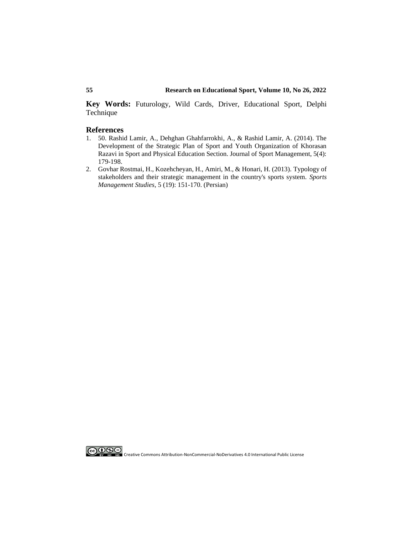**Key Words:** Futurology, Wild Cards, Driver, Educational Sport, Delphi Technique

#### **References**

- 1. [50. Rashid Lamir, A., Dehghan Ghahfarrokhi, A., & Rashid Lamir, A. \(2014\). The](https://jsm.ut.ac.ir/article_36227.html?lang=en)  [Development of the Strategic Plan of Sport and Youth Organization of Khorasan](https://jsm.ut.ac.ir/article_36227.html?lang=en)  [Razavi in Sport and Physical Education Section. Journal of Sport Management, 5\(4\):](https://jsm.ut.ac.ir/article_36227.html?lang=en)  [179-198.](https://jsm.ut.ac.ir/article_36227.html?lang=en)
- 2. [Govhar Rostmai, H., Kozehcheyan, H., Amiri, M., & Honari, H. \(2013\). Typology of](http://ensani.ir/fa/article/327525/%DA%AF%D9%88%D9%86%D9%87-%D8%B4%D9%86%D8%A7%D8%B3%DB%8C-%D8%B0%DB%8C-%D9%86%D9%81%D8%B9%D8%A7%D9%86-%D9%88-%D9%85%D8%AF%DB%8C%D8%B1%DB%8C%D8%AA-%D8%A7%D8%B3%D8%AA%D8%B1%D8%A7%D8%AA%DA%98%DB%8C%DA%A9-%D8%A2%D9%86-%D9%87%D8%A7-%D8%AF%D8%B1-%D8%B3%DB%8C%D8%B3%D8%AA%D9%85-%D9%88%D8%B1%D8%B2%D8%B4-%DA%A9%D8%B4%D9%88%D8%B1)  [stakeholders and their strategic management in the country's sports system.](http://ensani.ir/fa/article/327525/%DA%AF%D9%88%D9%86%D9%87-%D8%B4%D9%86%D8%A7%D8%B3%DB%8C-%D8%B0%DB%8C-%D9%86%D9%81%D8%B9%D8%A7%D9%86-%D9%88-%D9%85%D8%AF%DB%8C%D8%B1%DB%8C%D8%AA-%D8%A7%D8%B3%D8%AA%D8%B1%D8%A7%D8%AA%DA%98%DB%8C%DA%A9-%D8%A2%D9%86-%D9%87%D8%A7-%D8%AF%D8%B1-%D8%B3%DB%8C%D8%B3%D8%AA%D9%85-%D9%88%D8%B1%D8%B2%D8%B4-%DA%A9%D8%B4%D9%88%D8%B1) *Sports Management Studies,* [5 \(19\): 151-170. \(Persian\)](http://ensani.ir/fa/article/327525/%DA%AF%D9%88%D9%86%D9%87-%D8%B4%D9%86%D8%A7%D8%B3%DB%8C-%D8%B0%DB%8C-%D9%86%D9%81%D8%B9%D8%A7%D9%86-%D9%88-%D9%85%D8%AF%DB%8C%D8%B1%DB%8C%D8%AA-%D8%A7%D8%B3%D8%AA%D8%B1%D8%A7%D8%AA%DA%98%DB%8C%DA%A9-%D8%A2%D9%86-%D9%87%D8%A7-%D8%AF%D8%B1-%D8%B3%DB%8C%D8%B3%D8%AA%D9%85-%D9%88%D8%B1%D8%B2%D8%B4-%DA%A9%D8%B4%D9%88%D8%B1)

**COOSS**<br>Externational Public License Creative Commons Attribution-NonCommercial-NoDerivatives 4.0 International Public License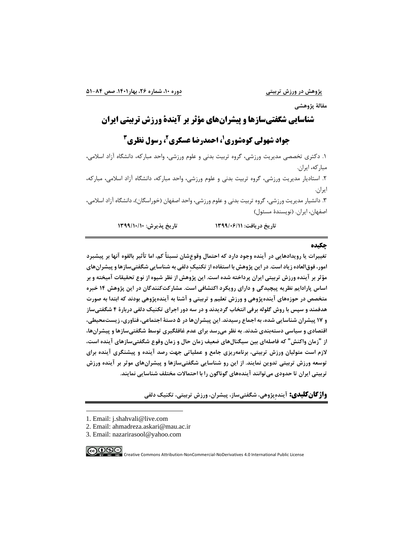**مقالة پژوهشی**

**1 شناسایی شگفتیسازها و پیشرانهای مؤثر بر آیندۀ ورزش تربیتی ایران** 

# **2 ، احمدرضا عسکری <sup>1</sup> جواد شهولی کوهشوری 3 ، رسول نظری**

.1 دکتري تخصصی مدیریت ورزشی، گروه تربیت بدنی و علوم ورزشی، واحد مبارکه، دانشگاه آزاد اسالمی، مبارکه، ایران. .2 استادیار مدیریت ورزشی، گروه تربیت بدنی و علوم ورزشی، واحد مبارکه، دانشگاه آزاد اسالمی، مبارکه، ایران. .3 دانشیار مدیریت ورزشی، گروه تربیت بدنی و علوم ورزشی، واحد اصفهان )خوراسگان(، دانشگاه آزاد اسالمی، اصفهان، ایران. )نویسندۀ مسئول(

**تاريخ دريافت: 1399/06/11 تاريخ پذيرش: 1399/10/10**

### **چکیده**

**تغییرات يا رويدادهايی در آينده وجود دارد که احتمال وقوعِشان نسبتاً کم، اما تأثیر بالقوه آنها بر پیشبرد امور، فوقالعاده زياد است. در اين پژوهش با استفاده از تکنیكِ دلفی به شناسايی شگفتیسازها و پیشرانهاي مؤثر بر آينده ورزش تربیتی ايران پرداخته شده است. اين پژوهش از نظر شیوه از نوع تحقیقات آمیخته و بر اساس پارادايم نظريه پیچیدگی و داراي رويکرد اکتشافی است. مشارکتکنندگان در اين پژوهش 14 خبره متخصص در حوزههاي آيندهپژوهی و ورزش تعلیم و تربیتی و آشنا به آيندهپژوهی بودند که ابتدا به صورت هدفمند و سپس با روش گلوله برفی انتخاب گرديدند و در سه دور اجراي تکنیك دلفی دربارۀ 4 شگفتیساز و 17 پیشران شناسايی شده، به اجماع رسیدند. اين پیشرانها در 5 دستة اجتماعی، فناوري، زيستمحیطی، اقتصادي و سیاسی دسته بندي شدند. به نظر می رسد براي عدم غافلگیري توسط شگفتیسازها و پیشرانها، از "زمان واکنش" که فاصلهاي بین سیگنالهاي ضعیف زمان حال و زمان وقوع شگفتیسازهاي آينده است،**  لازم است متولیان ورزش تربیتی، برنامهریزی جامع و عملیاتی جهت رصد آینده و پیشنگری آینده برای **توسعه ورزش تربیتی تدوين نمايند. از اين رو شناسايی شگفتی سازها و پیشرانهاي موثر بر آينده ورزش تربیتی ايران تا حدودي میتوانند آيندههاي گوناگون را با احتماالت مختلف شناسايی نمايند.** 

**واژگان کلیدی: آيندهِپژوهی، شگفتیساز، پیشران، ورزش تربیتی، تکنیك دلفی** 

<sup>3.</sup> Email: nazarirasool@yahoo.com



<sup>1.</sup> Email: j.shahvali@live.com

<sup>2.</sup> Email: ahmadreza.askari@mau.ac.ir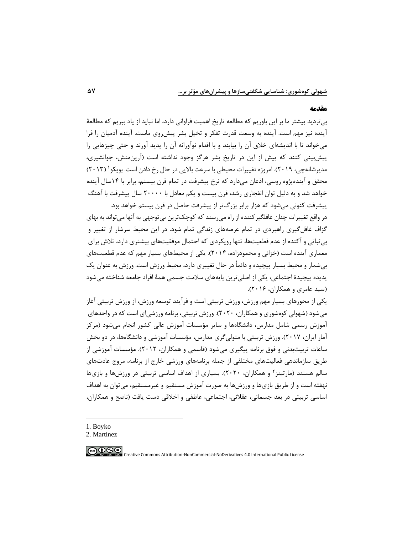#### **مقدمه**

بیتردید بیشتر ما بر این باوریم که مطالعه تاریخ اهمیت فراوانی دارد، اما نباید از یاد ببریم که مطالعۀ آینده نیز مهم است. آینده به وسعت قدرت تفکر و تخیل بشر پیشروي ماست. آینده آدمیان را فرا میخواند تا با اندیشهاي خالق آن را بیابند و با اقدام نوآورانه آن را پدید آورند و حتی چیزهایی را پیشبینی کنند که پیش از این در تاریخ بشر هرگز وجود نداشته است )آرینمنش، جوانشیري، مدیرشانهچی، ۲۰۱۹). امروزه تغییرات محیطی با سرعت بالایی در حال رخ دادن است. بویکو ` (۲۰۱۳) محقق و آیندهپژوه روسی، اذعان میدارد که نرخ پیشرفت در تمام قرن بیستم، برابر با 14سال آینده خواهد شد و به دلیل توان انفجاري رشد، قرن بیست و یکم معادل با 20000 سال پیشرفت با آهنگ پیشرفت کنونی میشود که هزار برابر بزرگ تر از پیشرفت حاصل در قرن بیستم خواهد بود.

در واقع تغییرات چنان غافلگیرکننده از راه میرسند که کوچكترین بیتوجهی به آنها میتواند به بهاي گزاف غافلگیري راهبردي در تمام عرصه هاي زندگی تمام شود. در این محیط سرشار از تغییر و بیثباتی و آکنده از عدم قطعیتها، تنها رویکردي که احتمال موفقیتهاي بیشتري دارد، تالش براي معماري آینده است (خزائی و محمودزاده، ۲۰۱۴). یکی از محیطهاي بسیار مهم که عدم قطعیتهاي بیشمار و محیط بسیار پیچیده و دائماً در حال تغییري دارد، محیط ورزش است. ورزش به عنوان یك پدیده پیچیدۀ اجتماعی، یکی از اصلیترین پایههاي سالمت جسمی همۀ افراد جامعه شناخته میشود )سید عامري و همکاران، 2016(.

یکی از محورهاي بسیار مهم ورزش، ورزش تربیتی است و فرآیند توسعه ورزش، از ورزش تربیتی آغاز میشود )شهولی کوهشوري و همکاران، 2020(. ورزش تربیتی، برنامه ورزشیاي است که در واحدهاي آموزش رسمی شامل مدارس، دانشگاهها و سایر مؤسسات آموزش عالی کشور انجام میشود )مرکز آمار ایران، 2017(. ورزش تربیتی با متولیگري مدارس، مؤسسات آموزشی و دانشگاهها، در دو بخش ساعات تربیتبدنی و فوق برنامه پیگیري میشود )قاسمی و همکاران، 2012(. مؤسسات آموزشی از طریق سازماندهی فعالیتهاي مختلفی از جمله برنامههاي ورزشی خارج از برنامه، مروج عادتهاي سالم هستند (مارتینز<sup>۲</sup> و همکاران، ۲۰۲۰). بسیاری از اهداف اساسی تربیتی در ورزشها و بازیها نهفته است و از طریق بازيها و ورزش ها به صورت آموزش مستقیم و غیرمستقیم، میتوان به اهداف اساسی تربیتی در بعد جسمانی، عقالنی، اجتماعی، عاطفی و اخالقی دست یافت )ناصح و همکاران،

1. Boyko

∣⊚⊕⊛

<sup>2.</sup> Martinez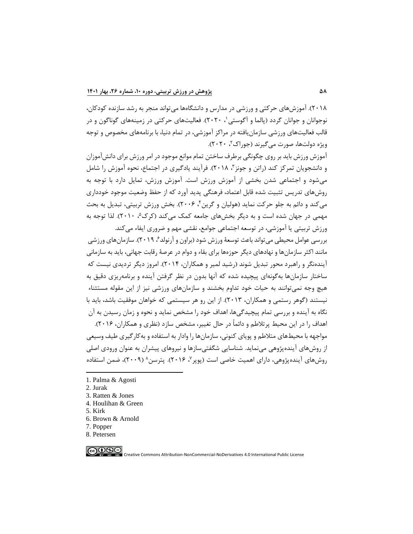2018(. آموزش هاي حرکتی و ورزشی در مدارس و دانشگاهها میتواند منجر به رشد سازنده کودکان، نوجوانان و جوانان گردد (پالما و اگوستی`، ۲۰۲۰). فعالیتهای حرکتی در زمینههای گوناگون و در قالب فعالیتهاي ورزشی سازمانیافته در مراکز آموزشی، در تمام دنیا، با برنامههاي مخصوص و توجه ویژه دولتها، صورت میگیرند (جوراک<sup>۲</sup>، ۲۰۲۰).

آموزش ورزش باید بر روي چگونگی برطرف ساختن تمام موانع موجود در امر ورزش براي دانش آموزان و دانشجویان تمرکز کند (راتن و جونز ۳، ۲۰۱۸). فرآیند یادگیری در اجتماع، نحوه آموزش را شامل میشود و اجتماعی شدن بخشی از آموزش ورزش است. آموزش ورزش، تمایل دارد با توجه به روشهاي تدریس تثبیت شده قابل اعتماد، فرهنگی پدید آورد که از حفظ وضعیت موجود خودداري میکند و دائم به جلو حرکت نماید (هولیان و گرین ٔ، ۲۰۰۶). بخش ورزش تربیتی، تبدیل به بحث مهمی در جهان شده است و به دیگر بخشهای جامعه کمک میکند (کرک۵، ۲۰۱۰). لذا توجه به ورزش تربیتی یا آموزشی، در توسعه اجتماعی جوامع، نقشی مهم و ضروري ایفاء میکند.

بررسی عوامل محیطی می تواند باعث توسعۀ ورزش شود (براون و آرنولد $\ell$  ۲۰۱۹). سازمان های ورزشی مانند اکثر سازمانها و نهادهاي دیگر حوزهها براي بقاء و دوام در عرصۀ رقابت جهانی، باید به سازمانی آیندهنگر و راهبرد محور تبدیل شوند (رشید لمیر و همکاران، 2014(. امروز دیگر تردیدي نیست که ساختار سازمانها بهگونهاي پیچیده شده که آنها بدون در نظر گرفتن آینده و برنامهریزي دقیق به هیچ وجه نمیتوانند به حیات خود تداوم بخشند و سازمانهاي ورزشی نیز از این مقوله مستثناء نیستند )گوهر رستمی و همکاران، 2013(. از این رو هر سیستمی که خواهان موفقیت باشد، باید با نگاه به آینده و بررسی تمام پیچیدگیها، اهداف خود را مشخص نماید و نحوه و زمان رسیدن به آن اهداف را در این محیط پرتالطم و دائماً در حال تغییر، مشخص سازد )نظري و همکاران، 2016(. مواجهه با محیطهاي متالطم و پویاي کنونی، سازمانها را وادار به استفاده و بهکارگیري طیف وسیعی از روش هاي آیندهپژوهی مینماید. شناسایی شگفتیسازها و نیروهاي پیشران به عنوان ورودي اصلی

روشهای آیندهپژوهی، دارای اهمیت خاصی است (پوپر<sup>۷</sup>، ۲۰۱۶). پترسن^ (۲۰۰۹)، ضمن استفاده

<sup>1.</sup> Palma & Agosti

<sup>2.</sup> Jurak

<sup>3.</sup> Ratten & Jones

<sup>4.</sup> Houlihan & Green

<sup>5.</sup> Kirk

<sup>6.</sup> Brown & Arnold

<sup>7.</sup> Popper

<sup>8.</sup> Petersen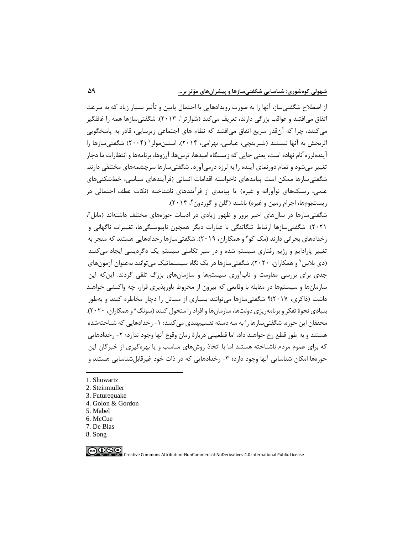از اصطلاح شگفتی ساز، آنها را به صورت رویدادهایی با احتمال پایین و تأثیر بسیار زیاد که به سرعت تفاق میافتند و عواقب بزرگی دارند، تعریف میکند (شوارتز \، ۲۰۱۳). شگفتیسازها همه را غافلگیر میکنند، چرا که آنقدر سریع اتفاق میافتند که نظام هاي اجتماعی زیربنایی، قادر به پاسخگویی ثربخش به آنها نیستند (شیرینچی، عباسی، بهرامی، ۲۰۱۴). استینمولر ۲۰۰۴) شگفتیسازها را ایندهلرزه <sup>۳</sup>نام نهاده است، یعنی جایی که زیستگاه امیدها، ترس۵ا، ارزوها، برنامهها و انتظارات ما دچار تغییر میشود و تمام دورنماي آینده را به لرزه درمیآورد. شگفتیسازها سرچشمه هاي مختلفی دارند. شگفتیسازها ممکن است پیامدهاي ناخواسته اقدامات انسانی )فرآیندهاي سیاسی، خطشکنیهاي علمی، ریسکهای نوآورانه و غیره) یا پیامدی از فرآیندهای ناشناخته (نکات عطف احتمالی در زیستبومها، اجرام زمین و غیره) باشند (گلن و گوردون ۲۰۱۴).

شگفتیسازها در سالهای اخیر بروز و ظهور زیادی در ادبیات حوزههای مختلف داشتهاند (مابل<sup>۵</sup>، 2021(. شگفتیسازها ارتباط تنگاتنگی با عبارات دیگر همچون ناپیوستگیها، تغییرات ناگهانی و رخدادهای بحرانی دارند (مک کو<sup>۶</sup> و همکاران، ۲۰۱۹). شگفتی سازها رخدادهایی هستند که منجر به تغییر پارادایم و رژیم رفتاري سیستم شده و در سیر تکاملی سیستم یك دگردیسی ایجاد میکنند (دی بلاس<sup>۷</sup> و همکاران، ۲۰۲۰). شگفتیسازها در یک نگاه سیستماتیک میتوانند بهعنوان آزمونهای جدي براي بررسی مقاومت و تابآوري سیستم ها و سازمانهاي بزرگ تلقی گردند. اینکه این سازمانها و سیستمها در مقابله با وقایعی که بیرون از مخروط باورپذیري قرار ، چه واکنشی خواهند داشت )ذاکري، 2017(؟ شگفتیسازها میتوانند بسیاري از مسائل را دچار مخاطره کنند و بهطور بنیادی نحوۀ تفکر و برنامهریزی دولتها، سازمانها و افراد را متحول کنند (سونگ^و همکاران، ۲۰۲۰). محققان این حوزه، شگفتی سازها را به سه دسته تقسیم بندی می کنند: ۱- رخدادهایی که شناخته شده هستند و به طور قطع رخ خواهند داد، اما قطعیتی دربارۀ زمان وقوع آنها وجود ندارد؛ -2 رخدادهایی که براي عموم مردم ناشناخته هستند اما با اتخاذ روش هاي مناسب و یا بهره گیري از خبرگان این حوزهها امکان شناسایی آنها وجود دارد؛ ۳- رخدادهایی که در ذات خود غیرقابل شناسایی هستند و

- 2. Steinmuller
- 3. Futurequake
- 4. Golon & Gordon
- 5. Mabel
- 6. [McCue](https://www.sciencedirect.com/science/article/pii/S0885201418302235#!)
- 7. De [Blas](javascript:;)
- 8. Song

 $\bigodot_{\tiny\begin{array}{l}\mathbb{C}\mathbb{C} \end{array}}\bigodot_{\tiny\begin{array}{l}\mathbb{C}\mathbb{C} \end{array}}\bigodot_{\tiny\begin{array}{l}\mathbb{C}\mathbb{C} \end{array}}\bigodot$ 

<sup>1.</sup> Showartz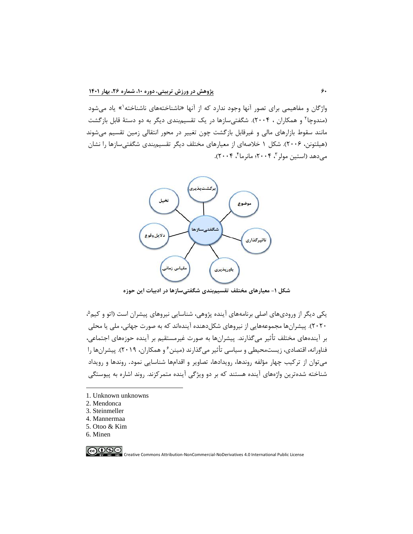واژگان و مفاهیمی برای تصور آنها وجود ندارد که از آنها «ناشناختههای ناشناخته<sup>(</sup>» یاد میشود (مندوچا ٔ و همکاران ، ۲۰۰۴). شگفتیسازها در یک تقسیمٖبندی دیگر به دو دستۀ قابل بازگشت مانند سقوط بازارهاي مالی و غیرقابل بازگشت چون تغییر در محور انتقالی زمین تقسیم میشوند (هیلتونن، ۲۰۰۶). شکل ۱ خلاصهای از معیارهای مختلف دیگر تقسیمبندی شگفتی سازها را نشان میدهد (استین مولر "، ۲۰۰۴؛ مانرما "، ۲۰۰۴).



**شکل -1 معیارهاي مختلف تقسیمبندي شگفتیسازها در ادبیات اين حوزه**

یکی دیگر از ورودیهای اصلی برنامههای آینده پژوهی، شناسایی نیروهای پیشران است (اتو و کیم<sup>۵</sup>، ۲۰۲۰). پیشرانها مجموعههایی از نیروهای شکل دهنده آیندهاند که به صورت جهانی، ملی یا محلی بر آیندههاي مختلف تأثیر میگذارند. پیشران ها به صورت غیرمستقیم بر آینده حوزه هاي اجتماعی، فناورانه، اقتصادی، زیستمحیطی و سیاسی تأثیر میگذارند (مینن ٔ و همکاران، ۲۰۱۹). پیشرانها را میتوان از ترکیب چهار مؤلفه روندها، رویدادها، تصاویر و اقدامها شناسایی نمود. روندها و رویداد شناخته شدهترین واژههاي آینده هستند که بر دو ویژگی آینده متمرکزند. روند اشاره به پیوستگی

- 1. Unknown unknowns
- 2. Mendonca
- 3. Steinmeller
- 4. Mannermaa
- 5. Otoo & Kim
- 6. [Minen](https://journals.sagepub.com/action/doSearch?target=default&ContribAuthorStored=Minen%2C+Mia+T)

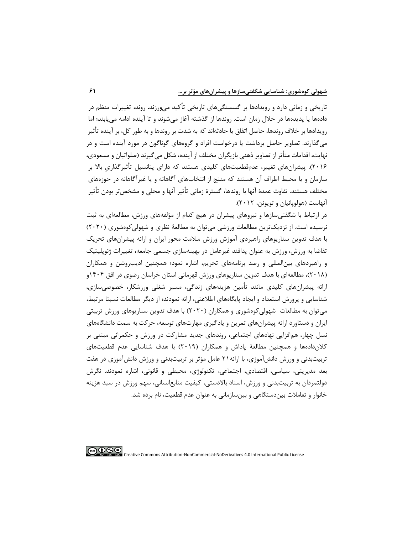تاریخی و زمانی دارد و رویدادها بر گسستگیهاي تاریخی تأکید میورزند. روند، تغییرات منظم در دادهها یا پدیدهها در خالل زمان است. روندها از گذشته آغاز میشوند و تا آینده ادامه مییابند؛ اما رویدادها بر خالف روندها، حاصل اتفاق یا حادثهاند که به شدت بر روندها و به طور کل، بر آینده تأثیر میگذارند. تصاویر حاصل برداشت یا درخواست افراد و گروههاي گوناگون در مورد آینده است و در نهایت، اقدامات متأثر از تصاویر ذهنی بازیگران مختلف از آینده، شکل می گیرند (صلواتیان و مسعودی، 2016(. پیشران هاي تغییر، عدمقطعیتهاي کلیدي هستند که داراي پتانسیل تأثیرگذاري باال بر سازمان و یا محیط اطراف آن هستند که منتج از انتخابهاي آگاهانه و یا غیرآگاهانه در حوزههاي مختلف هستند. تفاوت عمدۀ آنها با روندها، گسترۀ زمانی تأثیر آنها و محلی و مشخص تر بودن تأثیر آنهاست )هولوپانیان و تویونن، 2012(.

در ارتباط با شگفتیسازها و نیروهاي پیشران در هیچ کدام از مؤلفه هاي ورزش، مطالعهاي به ثبت نرسیده است. از نزدیكترین مطالعات ورزشی میتوان به مطالعۀ نظري و شهولیکوهشوري )2020( با هدف تدوین سناریوهاي راهبردي آموزش ورزش سالمت محور ایران و ارائه پیشران هاي تحریك تقاضا به ورزش، ورزش به عنوان پدافند غیرعامل در بهینهسازي جسمی جامعه، تغییرات ژئوپلیتیك و راهبردهاي بینالمللی و رصد برنامههاي تحریم، اشاره نمود؛ همچنین ادیبروشن و همکاران )2018(، مطالعهاي با هدف تدوین سناریوهاي ورزش قهرمانی استان خراسان رضوي در افق 1404و ارائه پیشران هاي کلیدي مانند تأ مین هزینههاي زندگی، مسیر شغلی ورزشکار، خصوصیسازي، شناسایی و پرورش استعداد و ایجاد پایگاههاي اطالعتی ، ارائه نمودند؛ از دیگر مطالعات نسبتا مرتبط، می توان به مطالعات شهولی کوهشوری و همکاران (۲۰۲۰) با هدف تدوین سناریوهای ورزش تربیتی ایران و دستاورد ارائه پیشرانهاي تمرین و یادگیري مهارتهاي توسعه، حرکت به سمت دانشگاههاي نسل چهار، همافزایی نهادهاي اجتماعی، روند هاي جدید مشارکت در ورزش و حکمرانی مبتنی بر کالندادهها و همچنین مطالعۀ پاداش و همکاران )2019( با هدف شناسایی عدم قطعیتهاي تربیتبدنی و ورزش دانشآموزي، با ارائه21 عامل مؤثر بر تربیتبدنی و ورزش دانشآموزي در هفت بعد مدیریتی، سیاسی، اقتصادي، اجتماعی، تکنولوژي، محیطی و قانونی، اشاره نمودند . نگرش دولتمردان به تربیت بدنی و ورزش، اسناد باالدستی، کیفیت منابعانسانی، سهم ورزش در سبد هزینه خانوار و تعامالت بیندستگاهی و بینسازمانی به عنوان عدم قطعیت، نام برده شد.

<u> |@⊕⊛⊜</u>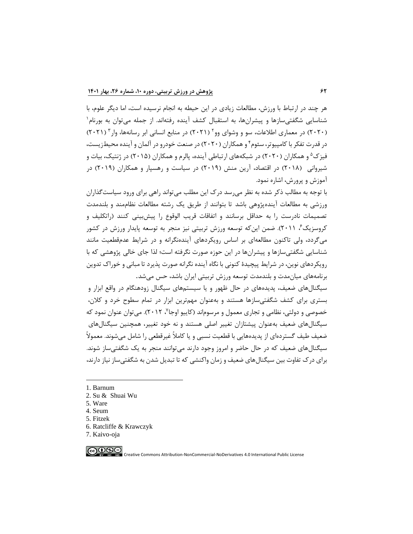هر چند در ارتباط با ورزش، مطالعات زیادي در این حیطه به انجام نرسیده است، اما دیگر علوم، با شناسایی شگفتی سازها و پیشرانها، به استقبال کشف آینده رفتهاند. از جمله می توان به بورنام ٔ (۲۰۲۰) در معماری اطلاعات، سو و وشوای وو<sup>۲</sup> (۲۰۲۱) در منابع انسانی ابر رسانهها، وار<sup>۳</sup> (۲۰۲۱) در قدرت تفکر با کامپیوتر، سئوم<sup>۲</sup> و همکاران (۲۰۲۰) در صنعت خودرو در المان و آینده محیطزیست، فیزک<sup>۵</sup> و همکاران (۲۰۲۰) در شبکههای ارتباطی آینده، پالرم و همکاران (۲۰۱۵) در ژنتیک، بیات و شیروانی )2018( در اقتصاد، آرین منش )2019( در سیاست و رهسپار و همکاران )2019( در آموزش و پرورش، اشاره نمود.

با توجه به مطالب ذکر شده به نظر میرسد درک این مطلب میتواند راهی براي ورود سیاستگذاران ورزشی به مطالعات آیندهپژوهی باشد تا بتوانند از طریق یك رشته مطالعات نظاممند و بلندمدت تصمیمات نادرست را به حداقل برسانند و اتفاقات قریب الوقوع را پیشبینی کنند )راتکلیف و کروسزیک ً⁄ ۲۰۱۱). ضمن اینکه توسعه ورزش تربیتی نیز منجر به توسعه پایدار ورزش در کشور میگردد، ولی تاکنون مطالعهاي بر اساس رویکردهاي آیندهنگرانه و در شرایط عدمقطعیت مانند شناسایی شگفتیسازها و پیشران ها در این حوزه صورت نگرفته است؛ لذا جاي خالی پژوهشی که با رویکردهاي نوین، در شرایط پیچیدۀ کنونی با نگاه آینده نگرانه صورت پذیرد تا مبانی و خوراک تدوین برنامههاي میانمدت و بلندمدت توسعه ورزش تربیتی ایران باشد، حس میشد.

سیگنالهاي ضعیف، پدیدههاي در حال ظهور و یا سیستم هاي سیگنال زودهنگام در واقع ابزار و بستري براي کشف شگفتی سازها هستند و به عنوان مهم ترین ابزار در تمام سطوح خرد و کالن، خصوصی و دولتی، نظامی و تجاری معمول و مرسوماند (کاییو اوجا٬ ۲۰۱۲). میتوان عنوان نمود که سیگنالهاي ضعیف به عنوان پیشتازان تغییر اصلی هستند و نه خود تغییر، همچنین سیگنال هاي ضعیف طیف گستردهاي از پدیدههایی با قطعیت نسبی و یا کامالً غیرقطعی را شامل میشوند. معموالً سیگنالهاي ضعیف که در حال حاضر و امروز وجود دارند میتوانند منجر به یك شگفتیساز شوند. براي درک تفاوت بین سیگنالهاي ضعیف و زمان واکنشی که تا تبدیل شدن به شگفتیساز نیاز دارند،

- 1. [Barnum](https://www.sciencedirect.com/science/article/pii/B9780128169421000034#!)
- 2. Su & [Shuai Wu](https://www.sciencedirect.com/science/article/abs/pii/S2095495620303776#!)
- 5[. Ware](https://www.sciencedirect.com/science/article/pii/B9780128128756000116#!)
- 4. Seum
- 5. Fitzek
- 6. Ratcliffe & Krawczyk
- 7. Kaivo-oja

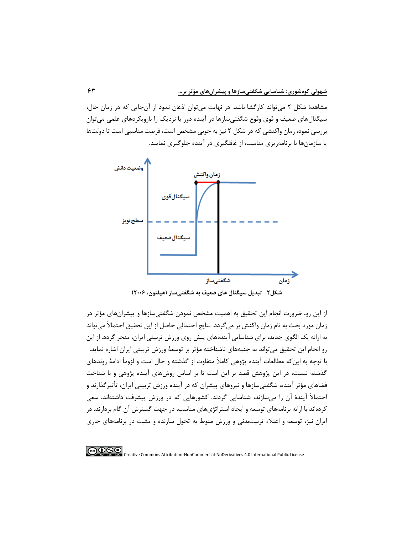مشاهدۀ شکل 2 میتواند کارگشا باشد. در نهایت میتوان اذعان نمود از آنجایی که در زمان حال، سیگنالهاي ضعیف و قوي وقوع شگفتیسازها در آینده دور یا نزدیك را بارویکردهاي علمی میتوان بررسی نمود، زمان واکنشی که در شکل 2 نیز به خوبی مشخص است، فرصت مناسبی است تا دولتها یا سازمانها با برنامهریزي مناسب، از غافلگیري در آینده جلوگیري نمایند.



**شکل-2 تبديل سیگنال هاي ضعیف به شگفتیساز )هیلتون، 2006(**

از این رو، ضرورت انجام این تحقیق به اهمیت مشخص نمودن شگفتیسازها و پیشران هاي مؤثر در زمان مورد بحث به نام زمان واکنش بر می گردد. نتایج احتمالی حاصل از این تحقیق احتماالً میتواند به ارائه یك الگوي جدید، براي شناسایی آیندههاي پیش روي ورزش تربیتی ایران، منجر گردد. از این رو انجام این تحقیق میتواند به جنبههای ناشناخته مؤثر بر توسعۀ ورزش تربیتی ایران اشاره نماید. با توجه به اینکه مطالعات آینده پژوهی کامالً متفاوت از گذشته و حال است و لزوماً ادامۀ روندهاي گذشته نیست، در این پژوهش قصد بر این است تا بر اساس روشهای آینده پژوهی و با شناخت فضاهاي مؤثر آینده، شگفتیسازها و نیروهاي پیشران که در آینده ورزش تربیتی ایران، تأثیرگذارند و احتماالً آیندۀ آن را میسازند، شناسایی گردند. کشورهایی که در ورزش پیشرفت داشتهاند، سعی کردهاند با ارائه برنامههاي توسعه و ایجاد استراتژي هاي مناسب، در جهت گسترش آن گام بردارند. در ایران نیز، توسعه و اعتالء تربیت بدنی و ورزش منوط به تحول سازنده و مثبت در برنامههاي جاري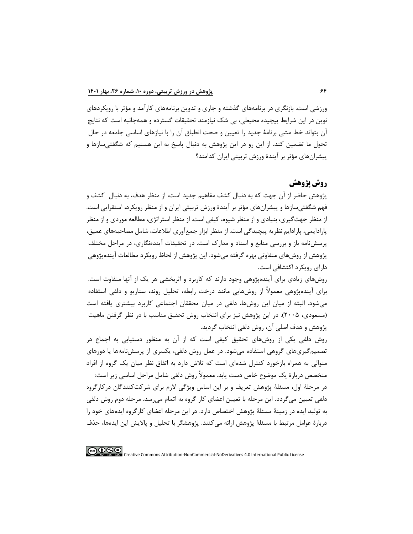ورزشی است. بازنگري در برنامههاي گذشته و جاري و تدوین برنامههاي کارآمد و مؤثر با رویکردهاي نوین در این شرایط پیچیده محیطی، بی شك نیازمند تحقیقات گسترده و همهجانبه است که نتایج آن بتواند خط مشی برنامۀ جدید را تعیین و صحت انطباق آن را با نیازهاي اساسی جامعه در حال تحول ما تضمین کند. از این رو در این پژوهش به دنبال پاسخ به این هستیم که شگفتیسازها و پیشران هاي مؤثر بر آیندۀ ورزش تربیتی ایران کدامند؟

# **روش پژوهش**

پژوهش حاضر از آن جهت که به دنبال کشف مفاهیم جدید است، از منظر هدف، به دنبال کشف و فهم شگفتیسازها و پیشران هاي مؤثر بر آیندۀ ورزش تربیتی ایران و از منظر رویکرد، استقرایی است. از منظر جهتگیري، بنیادي و از منظر شیوه، کیفی است. از منظر استراتژي، مطالعه موردي و از منظر پارادایمی، پارادایم نظریه پیچیدگی است. از منظر ابزار جمع آوري اطالعات، شامل مصاحبههاي عمیق، پرسشنامه باز و بررسی منابع و اسناد و مدارک است. در تحقیقات آیندهنگاري، در مراحل مختلف پژوهش از روشهاي متفاوتی بهره گرفته میشود. این پژوهش از لحاظ رویکرد مطالعات آینده پژوهی داراي رویکرد اکتشافی است.

روشهاي زیادي براي آینده پژوهی وجود دارند که کاربرد و اثربخشی هر یك از آنها متفاوت است. براي آینده پژوهی معموالً از روش هایی مانند درخت رابطه، تحلیل روند، سناریو و دلفی استفاده میشود. البته از میان این روش ها، دلفی در میان محققان اجتماعی کاربرد بیشتري یافته است )مسعودي، 2005(. در این پژوهش نیز براي انتخاب روش تحقیق مناسب با در نظر گرفتن ماهیت پژوهش و هدف اصلی آن، روش دلفی انتخاب گردید.

روش دلفی یکی از روشهاي تحقیق کیفی است که از آن به منظور دستیابی به اجماع در تصمیمگیري هاي گروهی استفاده میشود. در عمل روش دلفی، یکسري از پرسش نامهها یا دورهاي متوالی به همراه بازخورد کنترل شدهاي است که تالش دارد به اتفاق نظر میان یك گروه از افراد متخصص دربارۀ یك موضوع خاص دست یابد. معموالً روش دلفی شامل مراحل اساسی زیر است: در مرحلۀ اول، مسئلۀ پژوهش تعریف و بر این اساس ویژگی الزم براي شرکتکنندگان درکارگروه دلفی تعیین میگردد . این مرحله با تعیین اعضاي کار گروه به اتمام میرسد. مرحله دوم روش دلفی به تولید ایده در زمینۀ مسئلۀ پژوهش اختصاص دارد. در این مرحله اعضاي کارگروه ایدههاي خود را دربارۀ عوامل مرتبط با مسئلۀ پژوهش ارائه میکنند. پژوهشگر با تحلیل و پاالیش این ایدهها، حذف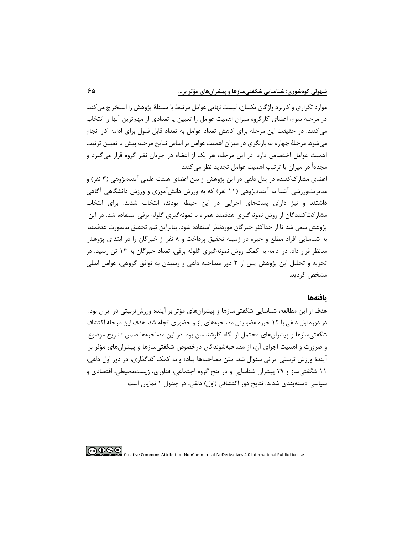موارد تکراري و کاربرد واژگان یکسان، لیست نهایی عوامل مرتبط با مسئلۀ پژوهش را استخراج میکند. در مرحلۀ سوم، اعضاي کارگروه میزان اهمیت عوامل را تعیین یا تعدادي از مهمترین آنها را انتخاب میکنند. در حقیقت این مرحله براي کاهش تعداد عوامل به تعداد قابل قبول براي ادامه کار انجام میشود. مرحلۀ چهارم به بازنگري در میزان اهمیت عوامل بر اساس نتایج مرحله پیش یا تعیین ترتیب اهمیت عوامل اختصاص دارد. در این مرحله، هر یك از اعضاء در جریان نظر گروه قرار میگیرد و مجدداً در میزان یا ترتیب اهمیت عوامل تجدید نظر میکنند.

اعضاي مشارک کننده در پنل دلفی در این پژوهش از بین اعضاي هیئت علمی آیندهپژوهی (۳ نفر) و مدیریتورزشی آشنا به آیندهپژوهی (۱۱ نفر) که به ورزش دانشآموزی و ورزش دانشگاهی آگاهی داشتند و نیز داراي پستهاي اجرایی در این حیطه بودند، انتخاب شدند. براي انتخاب مشارکتکنندگان از روش نمونه گیري هدفمند همراه با نمونهگیري گلوله برفی استفاده شد. در این پژوهش سعی شد تا از حداکثر خبرگان موردنظر استفاده شود. بنابراین تیم تحقیق بهصورت هدفمند به شناسایی افراد مطلع و خبره در زمینه تحقیق پرداخت و 8 نفر از خبرگان را در ابتداي پژوهش مدنظر قرار داد. در ادامه به کمك روش نمونه گیري گلوله برفی، تعداد خبرگان به 14 تن رسید. در تجزیه و تحلیل این پژوهش پس از 3 دور مصاحبه دلفی و رسیدن به توافق گروهی، عوامل اصلی مشخص گردید.

## **یافتهها**

هدف از این مطالعه، شناسایی شگفتیسازها و پیشران هاي مؤثر بر آینده ورزش تربیتی در ایران بود. در دوره اول دلفی با ۱۲ خبره عضو پنل مصاحبههای باز و حضوری انجام شد. هدف این مرحله اکتشاف شگفتیسازها و پیشران هاي محتمل از نگاه کارشناسان بود. در این مصاحبه ها ضمن تشریح موضوع و ضرورت و اهمیت اجراي آن، از مصاحبه شوندگان درخصوص شگفتیسازها و پیشران هاي مؤثر بر آیندۀ ورزش تربیتی ایرانی سئوال شد**.** متن مصاحبهها پیاده و به کمك کدگذاري، در دور اول دلفی، 11 شگفتیساز و 39 پیشران شناسایی و در پنج گروه اجتماعی، فناوري، زیستمحیطی، اقتصادي و سیاسی دستهبندی شدند. نتایج دور اکتشافی (اول) دلفی، در جدول ۱ نمایان است.

∣⊚⊕⊕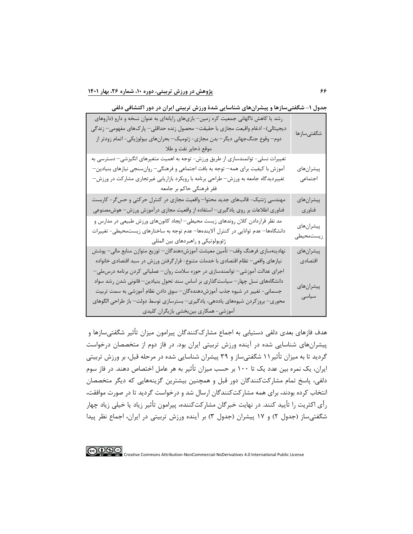**جدول -1 شگفتیسازها و پیشرانهاي شناسايی شدۀ ورزش تربیتی ايران در دور اکتشافی دلفی** 

| رشد یا کاهش ناگهانی جمعیت کره زمین– بازیهای رایانهای به عنوان نسخه و دارو (داروهای<br>دیجیتالی)- ادغام واقیعت مجازی با حقیقت— محصول زنده حداقلی— پار ک&ای مفهومی— زندگی<br>دوم– وقوع جنگجهانی دیگر– بدن مجازی- ژنومیک– بحرانهای بیولوژیکی- اتمام زودتر از<br>موقع ذحاير نفت و طلا                                                                                           | شگفتىسازها             |
|-----------------------------------------------------------------------------------------------------------------------------------------------------------------------------------------------------------------------------------------------------------------------------------------------------------------------------------------------------------------------------|------------------------|
| تغییرات نسلی- توانمندسازی از طریق ورزش- توجه به اهمیت متغیرهای انگیزشی– دسترسی به<br>آموزش با کیفیت برای همه— توجه به بافت اجتماعی و فرهنگی— روانسنجی نیازهای بنیادین—<br>تغییردیدگاه جامعه به ورزش– طراحی برنامه با رویکرد بازاریابی غیرتجاری مشارکت در ورزش–<br>فقر فرهنگی حاکم بر جامعه                                                                                  | پیشرانهای<br>اجتماعى   |
| مهندسی ژنتیک- قالبهای جدید محتوا— واقعیت مجازی در کنترل حرکتی و حس ٔر- کاربست<br>فناوری اطلاعات بر روی یادگیری— استفاده از واقعیت مجازی درآموزش ورزش— هوشمصنوعی                                                                                                                                                                                                             | پیشرانهای<br>فناوري    |
| مد نظر قراردادن کلان روندهای زیست محیطی– ایجاد کانونهای ورزش طبیعی در مدارس و<br>دانشگاهها– عدم توانایی در کنترل آلایندهها– عدم توجه به ساختارهای زیستمحیطی- تغییرات<br>ژئوپولوتیکی و راهبردهای بین المللی                                                                                                                                                                  | پیشرانهای<br>زيستمحيطى |
| نهادينهسازي فرهنگ وقف— تأمين معيشت آموزشدهندگان— توزيع متوازن منابع مالي— پوشش<br>نیازهای واقعی— نظام اقتصادی با خدمات متنوع- قرار گرفتن ورزش در سبد اقتصادی خانواده                                                                                                                                                                                                        | پیشرانهای<br>اقتصادى   |
| اجرای عدالت آموزشی– توانمندسازی در حوزه سلامت روان– عملیاتی کردن برنامه درس،ملی–<br>دانشگاههای نسل چهار— سیاستگذاری بر اساس سند تحول بنیادین— قانونی شدن رشد سواد<br>جسمانی- تغییر در شیوه جذب آموزشدهندهگان— سوق دادن نظام آموزشی به سمت تربیت<br>محوری— بروز کردن شیوههای یاددهی، یادگیری— بسترسازی توسط دولت— باز طراحی الگوهای<br>أموزشي- همكاري بينبخشي بازيگران كليدي | پيشرانهاي<br>سياسى     |

هدف فازهاي بعدي دلفی دستیابی به اجماع مشارک کنندگان پیرامون میزان تأ ثیر شگفتیسازها و پیشران هاي شناسایی شده در آینده ورزش تربیتی ایران بود. در فاز دوم از متخصصان درخواست گردید تا به میزان تأثیر ۱۱ شگفتیساز و ۳۹ پیشران شناسایی شده در مرحله قبل، بر ورزش تربیتی ایران، یك نمره بین عدد یك تا 100 بر حسب میزان تأ ثیر به هر عامل اختصاص دهند. در فاز سوم دلفی، پاسخ تمام مشارکتکنندگان دور قبل و همچنین بیشترین گزینه هایی که دیگر متخصصان انتخاب کرده بودند، براي همه مشارکتکنندگان ارسال شد و درخواست گردید تا در صورت موافقت، رأي اکثریت را تأ یید کنند. در نهایت خبرگان مشارکتکننده، پیرامون تأثیر زیاد یا خیلی زیاد چهار شگفتیساز (جدول ۲) و ۱۷ پیشران (جدول ۳) بر آینده ورزش تربیتی در ایران، اجماع نظر پیدا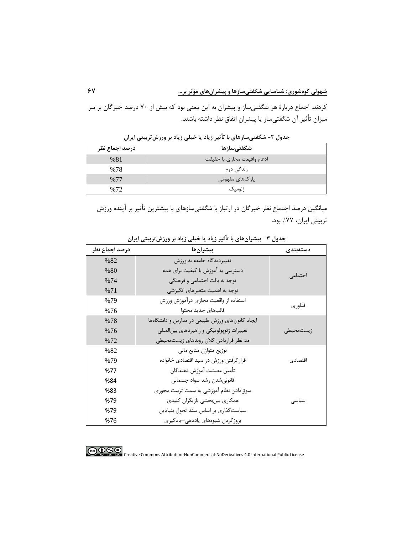کردند. اجماع دربارۀ هر شگفتیساز و پیشران به این معنی بود که بیش از 70 درصد خبرگان بر سر میزان تأثیر آن شگفتی ساز یا پیشران اتفاق نظر داشته باشند.

| درصد اجماع نظر | شگفتىسازها                  |
|----------------|-----------------------------|
| %81            | ادغام واقيعت مجازى با حقيقت |
| %78            | زندگی دوم                   |
| %77            | پارکھای مفهومی              |
| %72            | ژنومیک                      |

**جدول -2 شگفتیسازهاي با تأثیر زياد يا خیلی زياد بر ورزشتربیتی ايران** 

میانگین درصد اجتماع نظر خبرگان در ارتباز با شگفتیسازهاي با بیشترین تأ ثیر بر آینده ورزش تربیتی ایران، %77 بود.

| درصد اجماع نظر | پيشرانها                                       | دستەبندى     |
|----------------|------------------------------------------------|--------------|
| %82            | تغییردیدگاه جامعه به ورزش                      |              |
| %80            | دسترسی به آموزش با کیفیت برای همه              |              |
| %74            | توجه به بافت اجتماعی و فرهنگی                  | اجتماعي      |
| %71            | توجه به اهمیت متغیرهای انگیزشی                 |              |
| %79            | استفاده از واقعيت مجازي درآموزش ورزش           |              |
| %76            | قالبهاى جديد محتوا                             | فناور ی      |
| %78            | ایجاد کانونهای ورزش طبیعی در مدارس و دانشگاهها |              |
| %76            | تغییرات ژئوپولوتیکی و راهبردهای بینالمللی      | ز پستمحیطے ِ |
| %72            | مد نظر قراردادن كلان روندهاى زيستمحيطى         |              |
| %82            | توزيع متوازن منابع مالي                        |              |
| %79            | قرار گرفتن ورزش در سبد اقتصادی خانواده         | اقتصادي      |
| %77            | تأمين معيشت آموزش دهندگان                      |              |
| %84            | قانونىشدن رشد سواد جسمانى                      |              |
| %83            | سوقدادن نظام آموزشي به سمت تربيت محوري         |              |
| %79            | همکاری بینبخشی بازیگران کلیدی                  | سیاسی        |
| %79            | سیاست گذاری بر اساس سند تحول بنیادین           |              |
| %76            | بروز کردن شیوههای یاددهی—یادگیری               |              |

**جدول -3 پیشرانهاي با تأثیر زياد يا خیلی زياد بر ورزشتربیتی ايران** 

$$
\bigcirc \mathbb{Q} \bigcirc \mathbb{Q} \bigcirc
$$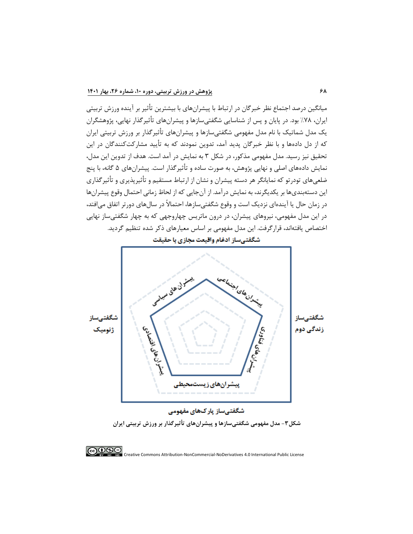میانگین درصد اجتماع نظر خبرگان در ارتباط با پیشران هاي با بیشترین تأ ثیر بر آینده ورزش تربیتی ایران، %78 بود. در پایان و پس از شناسایی شگفتیسازها و پیشران هاي تأثیرگذار نهایی، پژوهشگران یك مدل شماتیك با نام مدل مفهومی شگفتیسازها و پیشرانهاي تأثیرگذار بر ورزش تربیتی ایران که از دل دادهها و با نظر خبرگان پدید آمد، تدوین نمودند که به تأیید مشارکتکنندگان در این تحقیق نیز رسید. مدل مفهومی مذکور، در شکل 3 به نمایش در آمد است. هدف از تدوین این مدل، نمایش دادههای اصلی و نهایی پژوهش، به صورت ساده و تأثیرگذار است. پیشرانهای ۵ گانه، با پنج ضلعیهاي تودرتو که نمایانگر هر دسته پیشران و نشان از ارتباط مستقیم و تأثیرپذیري و تأ ثیرگذاري این دسته بنديها بر یکدیگرند، به نمایش درآمد. از آنجایی که از لحاظ زمانی احتمال وقوع پیشران ها در زمان حال یا آیندهاي نزدیك است و وقوع شگفتیسازها، احتماالً در سالهاي دورتر اتفاق میافتد، در این مدل مفهومی، نیروهاي پیشران، در درون ماتریس چهاروجهی که به چهار شگفتیساز نهایی اختصاص یافتهاند، قرارگرفت. این مدل مفهومی بر اساس معیارهاي ذکر شده تنظیم گردید.

onlyn gland find chiniplasher شگفتىساز شگفتہ أقشلانى TO PAS PACO زندگے دوم ژئومىك ني<br>وفق پیشرانهای زیستمحیطی شگفتیساز پارکھای مفهومی

**شکل-3 مدل مفهومی شگفتیسازها و پیشرانهاي تأثیرگذار بر ورزش تربیتی ايران** 



# شگفتیساز ادغام واقیعت مجازی با حقیقت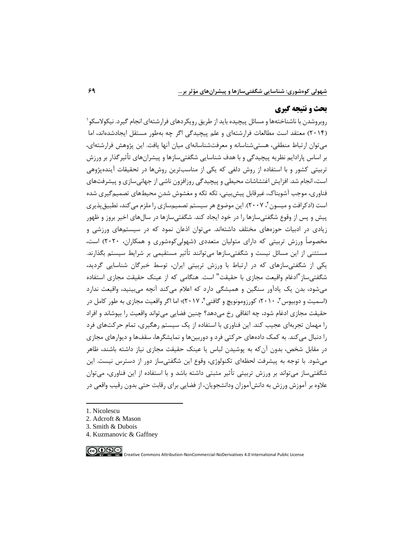# **بحث و نتیجه گیری**

<sup>1</sup> روبروشدن با ناشناخته ها و مسائل پیچیده باید از طریق رویکردهاي فرارشته اي انجام گیرد. نیکوالسکو (۲۰۱۴) معتقد است مطالعات فرارشتهای و علم پیچیدگی اگر چه بهطور مستقل ایجادشدهاند، اما میتوان ارتباط منطقی، هستیشناسانه و معرفتشناسانهاي میان آنها یافت. این پژوهش فرارشته اي، بر اساس پارادایم نظریه پیچیدگی و با هدف شناسایی شگفتیسازها و پیشران هاي تأ ثیرگذار بر ورزش تربیتی کشور و با استفاده از روش دلفی که یکی از مناسبترین روش ها در تحقیقات آیندهپژوهی است، انجام شد. افزایش اغتشاشات محیطی و پیچیدگی روزافزون ناشی از جهانیسازی و پیشرفتهای فناوري، موجب آشوبناک، غیرقابل پیشبینی، تکه تکه و مغشوش شدن محیط هاي تصمیمگیري شده ٔست (ادکرافت و میسون ۲۰۰۷ ). این موضوع هر سیستم تصمیمسازی را ملزم می کند، تطبیقپذیری پیش و پس از وقوع شگفتیسازها را در خود ایجاد کند. شگفتیسازها در سالهاي اخیر بروز و ظهور زیادي در ادبیات حوزه هاي مختلف داشته اند. میتوان اذعان نمود که در سیستم هاي ورزشی و مخصوصاً ورزش تربیتی که دارای متولیان متعددی (شهولیکوهشوری و همکاران، ۲۰۲۰) است، مستثنی از این مسائل نیست و شگفتیسازها میتوانند تأ ثیر مستقیمی بر شرایط سیستم بگذارند. یکی از شگفتیسازهاي که در ارتباط با ورزش تربیتی ایران، توسط خبرگان شناسایی گردید، شگفتیساز"ادغام واقیعت مجازي با حقیقت" است. هنگامی که از عینك حقیقت مجازي استفاده میشود، بدن یك یادآور سنگین و همیشگی دارد که اعالم میکند آنچه میبینید، واقیعت ندارد (اسمیت و دوبیوس"، ۲۰۱۰؛ کورزومونویچ و گافنی'، ۲۰۱۷)؛ اما اگر واقعیت مجازی به طور کامل در حقیقت مجازي ادغام شود، چه اتفاقی رخ میدهد؟ چنین فضایی میتواند واقعیت را بپوشاند و افراد را مهمان تجربهاي عجیب کند. این فناوري با استفاده از یک سیستم رهگیري، تمام حرکتهاي فرد را دنبال میکند. به کمك دادههاي حرکتی فرد و دوربینها و نمایشگرها، سقفها و دیوارهاي مجازي در مقابل شخص، بدون آنکه به پوشیدن لباس یا عینك حقیقت مجازي نیاز داشته باشند، ظاهر میشود. با توجه به پیشرفت لحظهاي تکنولوژي، وقوع این شگفتیساز دور از دسترس نیست. این شگفتیساز میتواند بر ورزش تربیتی تأثیر مثبتی داشته باشد و با استفاده از این فناوري، میتوان عالوه بر آموزش ورزش به دانشآموزان ودانشجویان، از فضایی براي رقابت حتی بدون رقیب واقعی در

- 1. Nicolescu
- 2. Adcroft & Mason
- 3. Smith & Dubois
- 4. Kuzmanovic & Gaffney

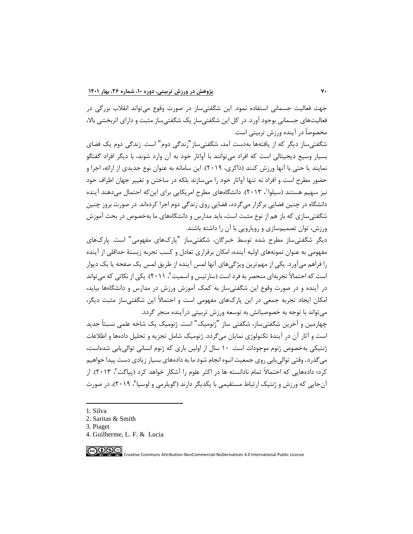جهت فعالیت جسمانی استفاده نمود. این شگقتیساز در صورت وقوع میتواند انقالب بزرگی در فعالیتهاي جسمانی بوجود آورد. در کل این شگفتیساز یك شگفتیساز مثبت و داراي اثربخشی باال، مخصوصاً در آینده ورزش تربیتی است.

شگفتیساز دیگر که از یافتهها به دست آمد، شگفتیساز"زندگی دوم" است. زندگی دوم یك فضاي بسیار وسیع دیجیتالی است که افراد میتوانند با آواتار خود به آن وارد شوند، با دیگر افراد گفتگو نمایند یا حتی با آنها ورزش کنند (ذاکري، ٢٠١٩). این سامانه به عنوان نوع جدیدي از ارائه، اجرا و حضور مطرح است و افراد نه تنها آواتار خود را میسازند بلکه در ساختن و تغییر جهان اطراف خود نیز سهیم هستند (سیلوا'، ۲۰۱۳). دانشگاههای مطرح امریکایی برای اینکه احتمال میدهند آینده دانشگاه در چنین فضایی برگزار میگردد، فضایی روي زندگی دوم اجرا کردهاند. در صورت بروز چنین شگفتیسازي که باز هم از نوع مثبت است، باید مدارس و دانشگاههاي ما بهخصوص در بحث آموزش ورزش، توان تصمیم سازي و رویارویی با آن را داشته باشند.

دیگر شگفتیساز مطرح شده توسط خبرگان، شگفتیساز "پارکهاي مفهومی " است. پارکهاي مفهومی به عنوان نمونه هاي اولیه آینده، امکان برقراري تعادل و کسب تجربه زیستۀ حداقلی از آینده را فراهم میآورد. یکی از مهمترین ویژگیهاي آنها لمس آینده از طریق لمس یك صفحه یا یك دیوار ٔ ست که احتمالا تجربهای منحصر به فرد است (سارتیس و اسمیت ٔ، ۲۰۱۱). یکی از نکاتی که میتواند در آینده و در صورت وقوع این شگفتیساز به کمك آموزش ورزش در مدارس و دانشگاهها بیاید، امکان ایجاد تجربه جمعی در این پارکهاي مفهومی است و احتماالً این شگفتیساز مثبت دیگر، میتواند با توجه به خصوصیاتش به توسعه ورزش تربیتی درآینده من جر گردد.

چهارمین و آخرین شگفتیساز، شگفتی ساز "ژنومیك" است. ژنومیك یك شاخه علمی نسبتاً جدید است و آثار آن در آیندۀ تکنولوژي نمایان میگردد. ژنومیك شامل تجزیه و تحلیل دادهها و اطالعات ژنتیکی بهخصوص ژنوم موجودات است. 10 سال از اولین باري که ژنوم انسانی توالییابی شدهاست، میگذرد. وقتی توالییابی روي جمعیت انبوه انجام شود ما به دادههاي بسیار زیادي دست پیدا خواهیم کرد؛ دادههایی که احتمالاً تمام نادانسته ها در اکثر علوم را آشکار خواهد کرد (پیاگت ؓ، ۲۰۱۳). از آنجایی که ورزش و ژنتیک ارتباط مستقیمی با یکدیگر دارند (گویلرمی و لوسیا۴، ۲۰۱۹)، در صورت

- 3. Piaget
- 4. Guilherme, L. F. & [Lucia](https://www.sciencedirect.com/science/article/pii/B9780128161937000014#!)



<sup>1.</sup> Silva

<sup>2.</sup> Saritas & Smith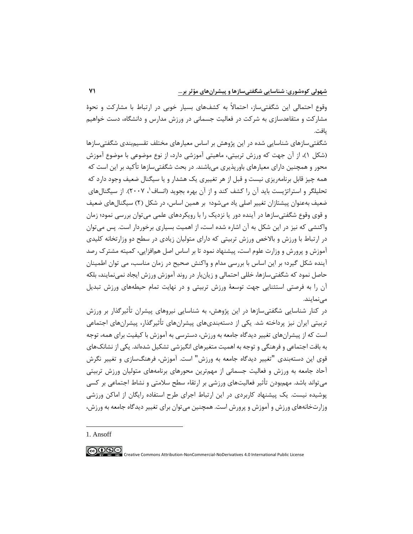وقوع احتمالی این شگفتیساز، احتماالً به کشفهاي بسیار خوبی در ارتباط با مشارکت و نحوۀ مشارکت و متقاعدسازي به شرکت در فعالیت جسمانی در ورزش مدارس و دانشگاه، دست خواهیم یافت.

شگفتیسازهاي شناسایی شده در این پژوهش بر اساس معیارهاي مختلف تقسیمبندي شگفتیسازها )شکل 1(، از آن جهت که ورزش تربیتی، ماهیتی آموزشی دارد، از نوع موضوعی با موضوع آموزش محور و همچنین داراي معیارهاي باورپذیري میباشند. در بحث شگفتیسازها تأکید بر این است که همه چیز قابل برنامهریزي نیست و قبل از هر تغییري یك هشدار و یا سیگنال ضعیف وجود دارد که تحلیلگر و استراتژیست باید آن را کشف کند و از آن بهره بجوید (انساف<sup>(</sup>، ۲۰۰۷). از سیگنالهای ضعیف به عنوان پیشتازان تغییر اصلی یاد میشود؛ بر همین اساس، در شکل )2( سیگنالهاي ضعیف و قوي وقوع شگفتیسازها در آینده دور یا نزدیك را با رویکردهاي علمی میتوان بررسی نمود؛ زمان واکنشی که نیز در این شکل به آن اشاره شده است، از اهمیت بسیاري برخوردار است. پس میتوان در ارتباط با ورزش و بالاخص ورزش تربیتی که دارای متولیان زیادی در سطح دو وزارتخانه کلیدی آموزش و پرورش و وزارت علوم است، پیشنهاد نمود تا بر اساس اصل همافزایی، کمیته مشترک رصد آینده شکل گیرد؛ بر این اساس با بررسی مدام و واکنش صحیح در زمان مناسب، می توان اطمینان حاصل نمود که شگفتیسازها، خللی احتمالی و زیانبار در روند آموزش ورزش ایجاد نمینمایند، بلکه آن را به فرصتی استثنایی جهت توسعۀ ورزش تربیتی و در نهایت تمام حیطه هاي ورزش تبدیل مے نمایند.

در کنار شناسایی شگفتیسازها در این پژوهش، به شناسایی نیروهاي پیشران تأ ثیرگذار بر ورزش تربیتی ایران نیز پرداخته شد. یکی از دستهبندیهای پیشرانهای تأثیرگذار، پیشرانهای اجتماعی است که از پیشرانهاي تغییر دیدگاه جامعه به ورزش، دسترسی به آموزش با کیفیت براي همه، توجه به بافت اجتماعی و فرهنگی و توجه به اهمیت متغیرهاي انگیزشی تشکیل شدهاند. یکی از نشانكهاي قوي این دسته بندي "تغییر دیدگاه جامعه به ورزش" است. آموزش، فرهنگسازي و تغییر نگرش آحاد جامعه به ورزش و فعالیت جسمانی از مهمترین محورهاي برنامههاي متولیان ورزش تربیتی میتواند باشد. مهمبودن تأ ثیر فعالیتهاي ورزشی بر ارتقاء سطح سالمتی و نشاط اجتماعی بر کسی پوشیده نیست. یك پیشنهاد کاربردي در این ارتباط اجراي طرح استفاده رایگان از اماکن ورزشی وزارت خانههاي ورزش و آموزش و پرورش است. همچنین میتوان براي تغییر دیدگاه جامعه به ورزش،

1. Ansoff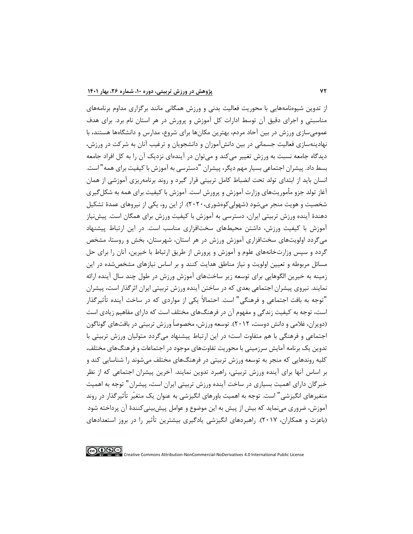از تدوین شیوهنامههایی با محوریت فعالیت بدنی و ورزش همگانی مانند برگزاري مداوم برنامههاي مناسبتی و اجراي دقیق آن توسط ادارات کل آموزش و پرورش در هر استان نام برد. براي هدف عمومیسازي ورزش در بین آحاد مردم، بهترین مکانها براي شروع، مدارس و دانشگاهها هستند، با نهادینهسازي فعالیت جسمانی در بین دانشآموزان و دانشجویان و ترغیب آنان به شرکت در ورزش، دیدگاه جامعه نسبت به ورزش تغییر میکند و میتوان در آیندهاي نزدیك آن را به کل افراد جامعه بسط داد. پیشران اجتماعی بسیار مهم دیگر، پیشران "دسترسی به آموزش با کیفیت براي همه" است. انسان باید از ابتداي تولد تحت انضباط کامل تربیتی قرار گیرد و روند برنامهریزي آموزشی از همان آغاز تولد جزو مأ موریتهاي وزارت آموزش و پرورش است. آموزش با کیفیت براي همه به شکل گیري شخصیت و هویت منجر میشود )شهولیکوهشوري2020،(. از این رو، یکی از نیروهاي عمدۀ تشکیل دهندۀ آینده ورزش تربیتی ایران، دسترسی به آموزش با کیفیت ورزش براي همگان است. پیشنیاز آموزش با کیفیت ورزش، داشتن محیطهاي سختافزاري مناسب است. در این ارتباط پیشنهاد میگردد اولویتهاي سختافزاري آموزش ورزش در هر استان، شهرستان، بخش و روستا ، مشخص گردد و سپس وزارتخانههاي علوم و آموزش و پرورش از طریق ارتباط با خیرین، آنان را براي حل مسائل مربوطه و تعیین اولویت و نیاز مناطق هدایت کنند و بر اساس نیازهاي مشخصشده در این زمینه به خیرین الگوهایی براي توسعه زیر ساختهاي آموزش ورزش در طول چند سال آینده ارائه نمایند. نیروي پیشران اجتماعی بعدي که در ساختن آینده ورزش تربیتی ایران اثرگذار است، پیشران "توجه به بافت اجتماعی و فرهنگی" است. احتماالً یکی از مواردي که در ساخت آینده تأثیرگذار است، توجه به کیفیت زندگی و مفهوم آن در فرهنگ هاي مختلف است که داراي مفاهیم زیادي است )دویران، غالمی و دانش دوست، 2012(. توسعه ورزش، مخصوصاً ورزش تربیتی در بافتهاي گوناگون اجتماعی و فرهنگی با هم متفاوت است؛ در این ارتباط پیشنهاد میگردد متولیان ورزش تربیتی با تدوین یك برنامه آمایش سرزمینی با محوریت تفاوتهاي موجود در اجتماعات و فرهنگهاي مختلف، کلیه روندهایی که منجر به توسعه ورزش تربیتی در فرهنگ هاي مختلف میشوند را شناسایی کند و بر اساس آنها براي آینده ورزش تربیتی، راهبرد تدوین نمایند. آخرین پیشران اجتماعی که از نظر خبرگان داراي اهمیت بسیاري در ساخت آینده ورزش تربیتی ایران است، پیشران" توجه به اهمیت متغیرهاي انگیزشی" است. توجه به اهمیت باورهاي انگیزشی به عنوان یك متغیّر تأثیرگذار در روند آموزش، ضروري مینماید که بیش از پیش به این موضوع و عوامل پیشبینیکنندۀ آن پرداخته شود )باعزت و همکاران، 2017(.راهبردهاي انگیزشی یادگیري بیشترین تأثیر را در بروز استعدادهاي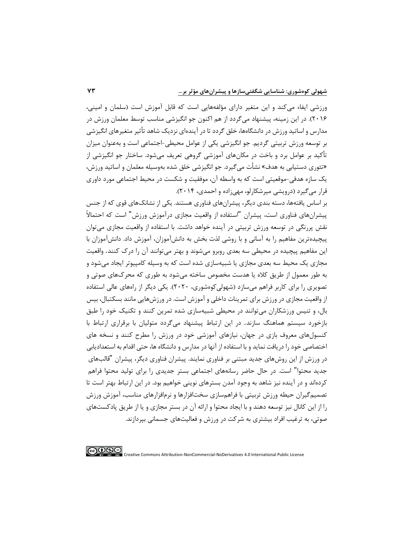ورزشی ایفاء میکند و این متغیر داراي مؤلفه هایی است که قابل آموزش است )سلمان و امینی، 2016(. در این زمینه، پیشنهاد میگردد از هم اکنون جو انگیزشی مناسب توسط معلمان ورزش در مدارس و اساتید ورزش در دانشگاهها، خلق گردد تا در آیندهاي نزدیك شاهد تأ ثیر متغیرهاي انگیزشی بر توسعه ورزش تربیتی گردیم. جو انگیزشی یکی از عوامل محیطی-اجتماعی است و بهعنوان میزان تأکید بر عوامل برد و باخت در مکانهاي آموزشی گروهی تعریف میشود. ساختار جو انگیزشی از «تئوري دستیابی به هدف» نشأت میگیرد. جو انگیزشی خلق شده بهوسیله معلمان و اساتید ورزش، یك سازه هدفی-موقعیتی است که به واسطه آن، موفقیت و شکست در محیط اجتماعی مورد داوري قرار می گیرد (درویشی میرشکارلو، مهی زاده و احمدی، ۲۰۱۴).

بر اساس یافتهها، دسته بندي دیگر، پیشران هاي فناوري هستند. یکی از نشانكهاي قوي که از جنس پیشران هاي فناوري است، پیشران "استفاده از واقعیت مجازي درآموزش ورزش" است که احتماالً نقش پررنگی در توسعه ورزش تربیتی در آینده خواهد داشت. با استفاده از واقعیت مجازي میتوان پیچیدهترین مفاهیم را به آسانی و با روشی لذت بخش به دانشآموزان، آموزش داد. دانشآموزان با این مفاهیم پیچیده در محیطی سه بعدي روبرو میشوند و بهتر میتوانند آن را درک کنند. واقعیت مجازي یك محیط سه بعدي مجازي یا شبیهسازي شده است که به وسیله کامپیوتر ایجاد میشود و به طور معمول از طریق کاله یا هدست مخصوص ساخته میشود به طوري که محرکهاي صوتی و تصویري را براي کاربر فراهم میسازد )شهولیکوهشوري، 2020(. یکی دیگر از راههاي عالی استفاده از واقعیت مجازي در ورزش براي تمرینات داخلی و آموزش است. در ورزش هایی مانند بسکتبال، [بیس](https://rasekhoon.net/article/show/783510/%D8%A7%D8%B5%D8%B7%D9%84%D8%A7%D8%AD%D8%A7%D8%AA-%D9%85%D9%87%D9%85-%D8%AF%D8%B1-%D8%A8%D8%A7%D8%B2%DB%8C-%D8%A8%DB%8C%D8%B3-%D8%A8%D8%A7%D9%84)  [بال،](https://rasekhoon.net/article/show/783510/%D8%A7%D8%B5%D8%B7%D9%84%D8%A7%D8%AD%D8%A7%D8%AA-%D9%85%D9%87%D9%85-%D8%AF%D8%B1-%D8%A8%D8%A7%D8%B2%DB%8C-%D8%A8%DB%8C%D8%B3-%D8%A8%D8%A7%D9%84) و تنیس ورزشکاران میتوانند در محیطی شبیهسازي شده تمرین کنند و تکنیك خود را طبق بازخورد سیستم هماهنگ سازند. در این ارتباط پیشنهاد میگردد متولیان با برقراري ارتباط با کنسول هاي معروف بازي در جهان، نیازهاي آموزشی خود در ورزش را مطرح کنند و نسخه هاي اختصاصی خود را دریافت نماید و با استفاده از آنها در مدارس و دانشگاه ها، حتی ا قدام به استعدادیابی در ورزش از این روشهاي جدید مبتنی بر فناوري نمایند. پیشران فناوري دیگر، پیشران "قالبهاي جدید محتوا" است. در حال حاضر رسانه هاي اجتماعی بستر جدیدي را براي تولید محتوا فراهم کردهاند و در آینده نیز شاهد به وجود آمدن بسترهاي نوینی خواهیم بود. در این ارتباط بهتر است تا تصمیمگیران حیطه ورزش تربیتی با فراهمسازي سختافزارها و نرمافزارهاي مناسب، آموزش ورزش را از این کانال نیز توسعه دهند و با ایجاد محتوا و ارائه آن در بستر مجازي و یا از طریق پادکستهاي صوتی، به ترغیب افراد بیشتري به شرکت در ورزش و فعالیتهاي جسمانی بپردازند.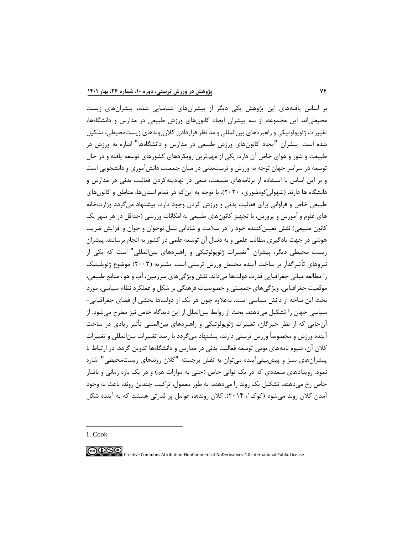بر اساس یافتههاي این پژوهش یکی دیگر از پیشرانهاي شناسایی شده، پیشران هاي زیست محیطیاند. این مجموعه، از سه پیشران ایجاد کانونهاي ورزش طبیعی در مدارس و دانشگاهها، تغییرات ژئوپولوتیکی و راهبردهاي بینالمللی و مد نظر قراردادن کالنروندهاي زیستمحیطی، تشکیل شده است. پیشران "ایجاد کانونهاي ورزش طبیعی در مدارس و دانشگاهها" اشاره به ورزش در طبیعت و شور و هواي خاص آن دارد. یکی از مهمترین رویکردهاي کشورهاي توسعه یافته و در حال توسعه در سراسر جهان توجه به ورزش و تربیتبدنی در میان جمعیت دانشآموزي و دانشجویی است و بر این اساس با استفاده از برنامههاي طبیعت، سعی در نهادینهکردن فعالیت بدنی در مدارس و دانشگاه ها دارند (شهولی کوهشوری، ۲۰۲۰). با توجه به این که در تمام استانها، مناطق و کانونهای طبیعی خاص و فراوانی براي فعالیت بدنی و ورزش کردن وجود دارد، پیشنهاد میگردد وزارتخانه هاي علوم و آموزش و پرورش، با تجهیز کانون هاي طبیعی به امکانات ورزشی )حداقل در هر شهر یك کانون طبیعی) نقش تعیین کننده خود را در سلامت و شادابی نسل نوجوان و جوان و افزایش ضریب هوشی در جهت یادگیري مطالب علمی و به دنبال آن توسعه علمی در کشور به انجام برسانند. پیشران زیست محیطی دیگر، پیشران "تغییرات ژئوپولوتیکی و راهبردهاي بینالمللی" است که یکی از نیروهاي تأثیرگذار بر ساخت آینده محتمل ورزش تربیتی است. بشیریه )2003( موضوع ژئوپلیتیك را مطالعه مبانی جغرافیایی [قدرت](https://fa.wikipedia.org/wiki/%D9%82%D8%AF%D8%B1%D8%AA) [دولتها](https://fa.wikipedia.org/wiki/%D8%AF%D9%88%D9%84%D8%AA) میداند. نقش ویژگیهاي [سرزمین،](https://fa.wikipedia.org/wiki/%D8%B3%D8%B1%D8%B2%D9%85%DB%8C%D9%86) [آب و هوا،](https://fa.wikipedia.org/wiki/%D8%A2%D8%A8_%D9%88_%D9%87%D9%88%D8%A7) [منابع طبیعی،](https://fa.wikipedia.org/wiki/%D9%85%D9%86%D8%A7%D8%A8%D8%B9_%D8%B7%D8%A8%DB%8C%D8%B9%DB%8C) [موقعیت](https://fa.wikipedia.org/wiki/%D9%85%D9%88%D9%82%D8%B9%DB%8C%D8%AA) جغرافیایی، ویژگیهاي جمعیتی و خصوصیات فرهنگی بر شکل و عملکرد نظام سیاسی، مورد بحث این شاخه از دانش سیاسی است. بهعالوه چون هر یك از دولتها بخشی از فضاي جغرافیایی- سیاسی جهان را تشکیل می دهند، بحث از [روابط بین الملل](https://fa.wikipedia.org/wiki/%D8%B1%D9%88%D8%A7%D8%A8%D8%B7_%D8%A8%DB%8C%D9%86%E2%80%8C%D8%A7%D9%84%D9%85%D9%84%D9%84) از این دیدگاه خاص نیز مطرح میشود. از آنجایی که از نظر خبرگان، تغییرات ژئوپولوتیکی و راهبردهاي بینالمللی تأ ثیر زیادي در ساخت آینده ورزش و مخصوصاً ورزش تربیتی دارند، پیشنهاد میگردد با رصد تغییرات بینالمللی و تغییرات کالن آن، شیوه نامههاي بومی توسعه فعالیت بدنی در مدارس و دانشگاهها تدوین گردد. در ارتباط با پیشران هاي سبز و پیشبینیآینده میتوان به نقش برجسته "کالن روندهاي زیستمحیطی" اشاره نمود. رویدادهای متعددی که در یک توالی خاص (حتی به موازات هم) و در یک بازه زمانی و بافتار خاص رخ میدهند، تشکیل یك روند را میدهند. به طور معمول، ترکیب چندین روند، باعث به وجود آمدن کلان روند میشود (کوک'، ۲۰۱۴). کلان روندها، عوامل پر قدرتی هستند که به آینده شکل

1. Cook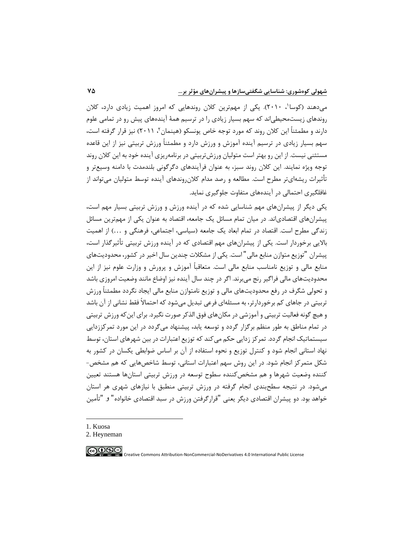میدهند (کوسا'، ۲۰۱۰). یکی از مهمترین کلان روندهایی که امروز اهمیت زیادی دارد، کلان روندهاي زیستمحیطیاند که سهم بسیار زیادي را در ترسیم همۀ آیندههاي پیش رو در تمامی علوم دارند و مطمئنا این کلان روند که مورد توجه خاص یونسکو (هینمان۲، ۲۰۱۱) نیز قرار گرفته است، سهم بسیار زیادي در ترسیم آینده آموزش و ورزش دارد و مطمئناً ورزش تربیتی نیز از این قاعده مستثنی نیست. از این رو بهتر است متولیان ورزشتربیتی در برنامهریزي آینده خود به این کالن روند توجه ویژه نمایند. این کالن روند سبز، به عنوان فرآیندهاي دگرگونی بلندمدت با دامنه وسیعتر و تأثیرات ریشهایتر مطرح است. مطالعه و رصد مدام کلان,وندهای آینده توسط متولیان می تواند از غافلگیري احتمالی در آیندههاي متفاوت جلوگیري نماید.

یکی دیگر از پیشران هاي مهم شناسایی شده که در آینده ورزش و ورزش تربیتی بسیار مهم است، پیشران هاي اقتصادياند. در میان تمام مسائل یك جامعه، اقتصاد به عنوان یکی از مهمترین مسائل زندگی مطرح است. اقتصاد در تمام ابعاد یک جامعه (سیاسی، اجتماعی، فرهنگی و ...) از اهمیت باالیی برخوردار است. یکی از پیشران هاي مهم اقتصادي که در آینده ورزش تربیتی تأثیرگذار است، پیشران "توزیع متوازن منابع مالی" است. یکی از مشکالت چندین سال اخیر در کشور، محدودیتهاي منابع مالی و توزیع نامناسب منابع مالی است. متعاقباً آموزش و پرورش و وزارت علوم نیز از این محدودیتهاي مالی فراگیر رنج میبرند. اگر در چند سال آینده نیز اوضاع مانند وضعیت امروزي باشد و تحولی شگرف در رفع محدودیتهاي مالی و توزیع نامتوازن منابع مالی ایجاد نگردد مطمئناً ورزش تربیتی در جاهاي کم برخوردارتر، به مسئله اي فرعی تبدیل میشود که احتماالً فقط نشانی از آن باشد و هیچ گونه فعالیت تربیتی و آموزشی در مکانهاي فوق الذکر صورت نگیرد. براي اینکه ورزش تربیتی در تمام مناطق به طور منظم برگزار گردد و توسعه یابد، پیشنهاد میگردد در این مورد تمرکززدایی سیستماتیک انجام گردد. تمرکز زدایی حکم می کند که توزیع اعتبارات در بین شهرهای استان، توسط نهاد استانی انجام شود و کنترل توزیع و نحوه استفاده از آن بر اساس ضوابطی یکسان در کشور به شکل متمرکز انجام شود. در این روش سهم اعتبارات استانی، توسط شاخصهایی که هم مشخص- کننده وضعیت شهرها و هم مشخصکننده سطوح توسعه در ورزش تربیتی استانها هستند تعیین میشود. در نتیجه سطحبندي انجام گرفته در ورزش تربیتی منطبق با نیازهاي شهري هر استان خواهد بود. دو پیشران اقتصادي دیگر یعنی "قرارگرفتن ورزش در سبد اقتصادي خانواده" و "تأمین

1. Kuosa

**@®®** 

<sup>2.</sup> [Heyneman](https://www.sciencedirect.com/science/article/abs/pii/S0738059310001641#!)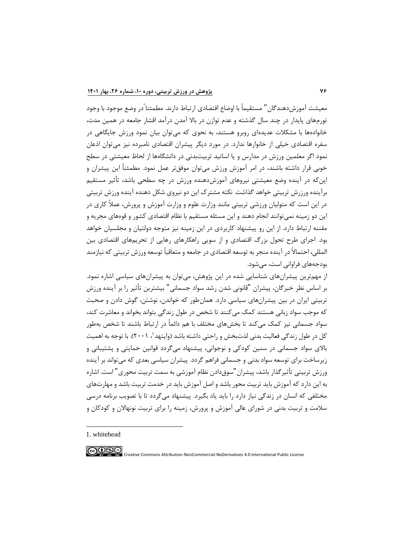معیشت آموزش دهندگان" مستقیماً با اوضاع اقتصادی ارتباط دارند. مطمئنا ًدر وضع موجود با وجود تورم هاي پایدار در چند سال گذشته و عدم توازن در باال آمدن درآمد اقشار جامعه در همین مدت، خانوادهها با مشکالت عدیدهاي روبرو هستند، به نحوي که میتوان بیان نمود ورزش جایگاهی در سفره اقتصادي خیلی از خانوارها ندارد. در مورد دیگر پیشران اقتصادي نامبرده نیز میتوان اذعان نمود اگر معلمین ورزش در مدارس و یا اساتید تربیتبدنی در دانشگاهها از لحاظ معیشتی در سطح خوبی قرار داشته باشند، در امر آموزش ورزش میتوان موفقتر عمل نمود. مطمئناً این پیشران و اینکه در آینده وضع معیشتی نیروهاي آموزش دهنده ورزش در چه سطحی باشد، تأ ثیر مستقیم برآینده ورزرش تربیتی خواهد گذاشت. نکته مشترک این دو نیروي شکل دهنده آینده ورزش تربیتی در این است که متولیان ورزشی تربیتی مانند وزارت علوم و وزارت آموزش و پرورش، عمالً کاري در این دو زمینه نمیتوانند انجام دهند و این مسئله مستقیم با نظام اقتصادي کشور و قوههاي مجریه و مقننه ارتباط دارد. از این رو پیشنهاد کاربردي در این زمینه نیز متوجه دولتیان و مجلسیان خواهد بود. اجراي طرح تحول بزرگ اقتصادي و از سویی راهکارهاي رهایی از تحریمهاي اقتصادي بین المللی، احتماالً در آینده منجر به توسعه اقتصادي در جامعه و متعاقباً توسعه ورزش تربیتی که نیازمند بودجه هاي فراوانی است، میشود.

از مهمترین پیشران هاي شناسایی شده در این پژوهش، میتوان به پیشران هاي سیاسی اشاره نمود. بر اساس نظر خبرگان، پیشران "قانونی شدن رشد سواد جسمانی" بیشترین تأ ثیر را بر آینده ورزش تربیتی ایران در بین پیشران هاي سیاسی دارد. همانطور که خواندن، نوشتن، گوش دادن و صحبت که موجب سواد زبانی هستند کمك میکنند تا شخص در طول زندگی بتواند بخواند و معاشرت کند، سواد جسمانی نیز کمك میکند تا بخشهاي مختلف با هم دائماً در ارتباط باشند تا شخص بهطور کل در طول زندگی فعالیت بدنی لذتبخش و راحتی داشته باشد (وایتهد'، ۲۰۰۱). با توجه به اهمیت باالي سواد جسمانی در سنین کودکی و نوجوانی، پیشنهاد میگردد قوانین حمایتی و پشتیبانی و زیرساخت براي توسعه سواد بدنی و جسمانی فراهم گردد. پیشران سیاسی بعدي که میتواند بر آینده ورزش تربیتی تأ ثیرگذار باشد، پیشران"سوق دادن نظام آموزشی به سمت تربیت محوري" است. اشاره به این دارد که آموزش باید تربیت محور باشد و اصل آموزش باید در خدمت تربیت باشد و مهارتهاي مختلفی که انسان در زندگی نیاز دارد را باید یاد بگیرد. پیشنهاد میگردد تا با تصویب برنامه درسی سالمت و تربیت بدنی در شوراي عالی آموزش و پرورش، زمینه را براي تربیت نونهاالن و کودکان و

1. whitehead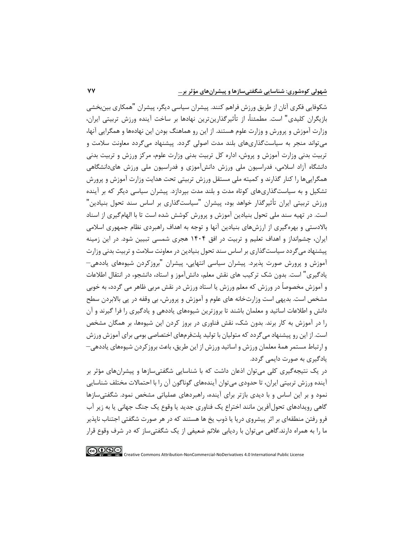شکوفایی فکری آنان از طریق ورزش فراهم کنند. پیشران سیاسی دیگر، پیشران "همکاری بین بخشی بازیگران کلیدي" است. مطمئنا،ً از تأثیرگذارینترین نهادها بر ساخت آینده ورزش تربیتی ایران، وزارت آموزش و پرورش و وزارت علوم هستند. از این رو هماهنگ بودن این نهادهها و همگرایی آنها ، میتواند منجر به سیاستگذاريهاي بلند مدت اصولی گردد. پیشنهاد میگردد معاونت سالمت و تربیت بدنی وزارت آموزش و پروش، اداره کل تربیت بدنی وزارت علوم، مرکز ورزش و تربیت بدنی دانشگاه آزاد اسالمی، فدراسیون ملی ورزش دانشآموزي و فدراسیون ملی ورزش هاي دانشگاهی همگراییها را کنار گذارند و کمیته ملی مستقل ورزش تربیتی تحت هدایت وزارت آموزش و پرورش تشکیل و به سیاست گذاريهاي کوتاه مدت و بلند مدت بپردازد. پیشران سیاسی دیگر که بر آینده ورزش تربیتی ایران تأ ثیرگذار خواهد بود، پیشران "سیاستگذاري بر اساس سند تحول بنیادین" است. در تهیه [سند ملی تحول بنیادین](https://tizland.ir/%D8%AA%DB%8C%D8%B2%D9%87%D9%88%D8%B4%D8%A7%D9%86-%D8%A2%D9%85%D9%88%D8%B2%D8%B4-%D8%A7%D8%A8%D8%AA%D8%AF%D8%A7%DB%8C%DB%8C-%D9%86%D9%85%D9%88%D9%86%D9%87-%D8%B3%D9%88%D8%A7%D9%84/%D8%B3%D9%86%D8%AF-%D9%85%D9%84%DB%8C-%D8%AA%D8%AD%D9%88%D9%84-%D8%A8%D9%86%DB%8C%D8%A7%D8%AF%DB%8C%D9%86) [آموزش و پرورش](http://medu.ir/portal/home.php?ocode=100010876) کوشش شده است تا با الهامگیري از اسناد باالدستی و بهرهگیري از ارزش هاي بنیادین آنها و توجه به اهداف راهبردي نظام جمهوري اسالمی ایران، چشم انداز و اهداف تعلیم و تربیت در افق 1404 هجري شمسی تبیین شود. در این زمینه پیشنهاد میگردد سیاستگذاري بر اساس سند تحول بنیادین در معاونت سالمت و تربیت بدنی وزارت آموزش و پرورش صورت پذیرد. پیشران سیاسی انتهایی، پیشران "بروزکردن شیوههاي یاددهی– یادگیري" است. بدون شك ترکیب هاي نقش معلم، دانشآموز و استاد، دانشجو، در انتقال اطالعات و آموزش مخصوصاً در ورزش که معلم ورزش یا استاد ورزش در نقش مربی ظاهر می گردد، به خوبی مشخص است. بدیهی است وزارتخانه هاي علوم و آموزش و پرورش، بی وقفه در پی باالبردن سطح دانش و اطالعات اساتید و معلمان باشند تا بروزترین شیوههاي یاددهی و یادگیري را فرا گیرند و آن را در آموزش به کار برند. بدون شك، نقش فناوري در بروز کردن این شیوهها، بر همگان مشخص است. از این رو پیشنهاد میگردد که متولیان با تولید پلتفرمهاي اختصاصی بومی براي آموزش ورزش و ارتباط مستمر همۀ معلمان ورزش و اساتید ورزش از این طریق، باعث بروزکردن شیوههاي یاددهی– یادگیري به صورت دایمی گردد.

در یك نتیجه گیري کلی میتوان اذعان داشت که با شناسایی شگفتیسازها و پیشرانهاي مؤثر بر آینده ورزش تربیتی ایران، تا حدودي میتوان آیندههاي گوناگون آن را با احتماالت مختلف شناسایی نمود و بر این اساس و با دیدي بازتر براي آینده، راهبردهاي عملیاتی مشخص نمود. شگفتیسازها گاهی رویدادهاي تحولآفرین مانند اختراع یك فناوري جدید یا وقوع یك جنگ جهانی یا به زیر آب فرو رفتن منطقه اي بر اثر پیشروي دریا یا ذوب یخ ها هستند که در هر صورت شگفتی اجتناب ناپذیر ما را به همراه دارند.گاهی میتوان با ردیابی عالئم ضعیفی از یك شگفتیساز که در شرف وقوع قرار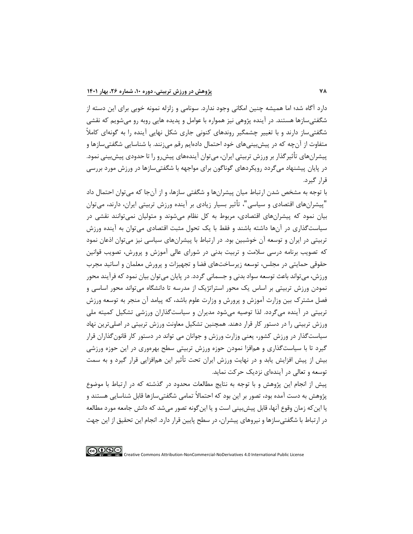دارد آگاه شد ؛ اما همیشه چنین امکانی وجود ندارد. سونامی و زلزله نمونه خوبی براي این دسته از شگفتیسازها هستند. در آینده پژوهی نیز همواره با عوامل و پدیده هایی روبه رو میشویم که نقشی شگفتیساز دارند و با تغییر چشمگیر روندهاي کنونی جاري شکل نهایی آینده را به گونهاي کامالً متفاوت از آن چه که در پیشبینیهاي خود احتمال داده ایم رقم میزنند. با شناسایی شگفتیسازها و پیشران هاي تأثیرگذار بر ورزش تربیتی ایران، میتوان آیندههاي پیشرو را تا حدودي پیشبینی نمود. در پایان پیشنهاد میگردد رویکردهاي گوناگون براي مواجهه با شگفتیسازها در ورزش مورد بررسی قرار گیرد.

با توجه به مشخص شدن ارتباط میان پیشران ها و شگفتی سازها، و از آنجا که میتوان احتمال داد "پیشران هاي اقتصادي و سیاسی "، تأ ثیر بسیار زیادي بر آینده ورزش تربیتی ایران، دارند، میتوان بیان نمود که پیشران هاي اقتصادي، مربوط به کل نظام میشوند و متولیان نمیتوانند نقشی در سیاستگذاري در آنها داشته باشند و فقط با یك تحول مثبت اقتصادي میتوان به آینده ورزش تربیتی در ایران و توسعه آن خوشبین بود. در ارتباط با پیشران هاي سیاسی نیز میتوان اذعان نمود که تصویب برنامه درسی سالمت و تربیت بدنی در شوراي عالی آموزش و پرورش، تصویب قوانین حقوقی حمایتی در مجلس، توسعه زیرساخت هاي فضا و تجهیزات و پرورش معلمان و اساتید مجرب ورزش، میتواند باعث توسعه سواد بدنی و جسمانی گردد. در پایان میتوان بیان نمود که فرآیند محور نمودن ورزش تربیتی بر اساس یك محور استراتژیك از مدرسه تا دانشگاه میتواند محور اساسی و فصل مشترک بین وزارت آموزش و پرورش و وزارت علوم باشد، که پیامد آن منجر به توسعه ورزش تربیتی در آینده میگردد. لذا توصیه میشود مدیران و سیاستگذاران ورزشی تشکیل کمیته ملی ورزش تربیتی را در دستور کار قرار دهند. همچنین تشکیل معاونت ورزش تربیتی در اصلیترین نهاد سیاستگذار در ورزش کشور، یعنی وزارت ورزش و جوانان می تواند در دستور کار ق انونگذاران قرار گیرد تا با سیاستگذاري و همافزا نمودن حوزه ورزش تربیتی سطح بهرهوري در این حوزه ورزشی بیش از پیش افزایش ی ابد و در نهایت ورزش ایران تحت تأثیر این همافزایی قرار گیرد و به سمت توسعه و تعالی در آیندهاي نزدیك حرکت نماید.

پیش از انجام این پژوهش و با توجه به نتایج مطالعات محدود در گذشته که در ارتباط با موضوع پژوهش به دست آمده بود، تصور بر این بود که احتماالً تمامی شگفتیسازها قابل شناسایی هستند و یا اینکه زمان وقوع آنها، قابل پیشبینی است و یا اینگونه تصور میشد که دانش جامعه مورد مطالعه در ارتباط با شگفتیسازها و نیروهاي پیشران، در سطح پایین قرار دارد. انجام این تحقیق از این جهت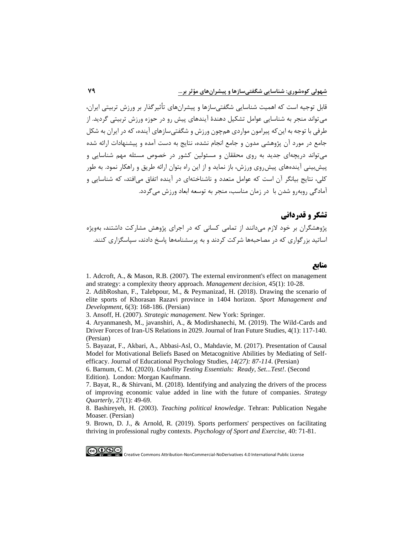قابل توجیه است که اهمیت شناسایی شگفتیسازها و پیشران هاي تأثیرگذار بر ورزش تربیتی ایران، میتواند منجر به شناسایی عوامل تشکیل دهندۀ آیندهاي پیش رو در حوزه ورزش تربیتی گردید. از طرفی با توجه به اینکه پیرامون مواردي همچون ورزش و شگفتیسازهاي آینده، که در ایران به شکل جامع در مورد آن پژوهشی مدون و جامع انجام نشده، نتایج به دست آمده و پیشنهادات ارائه شده میتواند دریچه اي جدید به روي محققان و مسئولین کشور در خصوص مسئله مهم شناسایی و پیشبینی آیندههاي پیشروي ورزش، باز نماید و از این راه بتوان ارائه طریق و راهکار نمود. به طور کلی، نتایج بیانگر آن است که عوامل متعدد و ناشناختهاي در آینده اتفاق میافتد، که شناسایی و آمادگی روبهرو شدن با در زمان مناسب، منجر به توسعه ابعاد ورزش میگردد.

# **تشکر و قدردانی**

پ ژوهشگران بر خود الزم میدانند از تمامی کسانی که در اجراي پژوهش مشارکت داشتند، بهویژه اساتید بزرگواري که در مصاحبه ها شرکت کردند و به پرسشنامهها پاسخ دادند، سپاسگزاري کنند.

**منابع**

[1. Adcroft, A., & Mason, R.B. \(2007\). The external environment's effect on management](https://www.emerald.com/insight/content/doi/10.1108/00251740710718935/full/html)  [and strategy: a complexity theory approach.](https://www.emerald.com/insight/content/doi/10.1108/00251740710718935/full/html) *Management decision*, 45(1): 10-28.

2. [AdibRoshan, F., Talebpour, M., & Peymanizad, H. \(2018\). Drawing the scenario of](https://jsmd.guilan.ac.ir/article_3015.html?lang=en)  [elite sports of Khorasan Razavi province in 1404 horizon.](https://jsmd.guilan.ac.ir/article_3015.html?lang=en) *Sport Management and Development*[, 6\(3\): 168-186. \(Persian\)](https://jsmd.guilan.ac.ir/article_3015.html?lang=en)

3. Ansoff, H. (2007). *[Strategic management](https://books.google.com/books?hl=en&lr=&id=bV9_Svdum70C&oi=fnd&pg=PP1&dq=3.+Ansoff,+H.+(2007).+Strategic+management.+New+York:+++Springer.&ots=Yn-utwiRSl&sig=HMfqbPE4sHRcugNR8aHb-zvwS-0#v=onepage&q=3. Ansoff%2C H. (2007). Strategic management. New York%3A%20%20 Springer.&f=false)*. New York: Springer.

[4. Aryanmanesh, M., javanshiri, A., & Modirshanechi, M. \(2019\). The Wild-Cards and](https://www.sid.ir/en/Journal/ViewPaper.aspx?ID=734256)  [Driver Forces of Iran-US Relations in 2029. Journal of Iran Future Studies, 4\(1\): 117-140.](https://www.sid.ir/en/Journal/ViewPaper.aspx?ID=734256)  [\(Persian\)](https://www.sid.ir/en/Journal/ViewPaper.aspx?ID=734256)

[5. Bayazat, F.,](https://jeps.usb.ac.ir/author.index?vol=458&vl=%D8%AF%D9%88%D8%B1%D9%87%2014%20(1396)&lang=en) [Akbari,](https://jeps.usb.ac.ir/author.index?vol=458&vl=%D8%AF%D9%88%D8%B1%D9%87%2014%20(1396)&lang=en) [A., Abbasi-Asl, O.,](https://jeps.usb.ac.ir/author.index?vol=458&vl=%D8%AF%D9%88%D8%B1%D9%87%2014%20(1396)&lang=en) [Mahdavie, M. \(2017\).](https://jeps.usb.ac.ir/author.index?vol=458&vl=%D8%AF%D9%88%D8%B1%D9%87%2014%20(1396)&lang=en) [Presentation of Causal](https://jeps.usb.ac.ir/author.index?vol=458&vl=%D8%AF%D9%88%D8%B1%D9%87%2014%20(1396)&lang=en) [Model for Motivational](https://jeps.usb.ac.ir/author.index?vol=458&vl=%D8%AF%D9%88%D8%B1%D9%87%2014%20(1396)&lang=en) [Beliefs](https://jeps.usb.ac.ir/author.index?vol=458&vl=%D8%AF%D9%88%D8%B1%D9%87%2014%20(1396)&lang=en) [Based on Metacognitive Abilities](https://jeps.usb.ac.ir/author.index?vol=458&vl=%D8%AF%D9%88%D8%B1%D9%87%2014%20(1396)&lang=en) [by Mediating of Self](https://jeps.usb.ac.ir/author.index?vol=458&vl=%D8%AF%D9%88%D8%B1%D9%87%2014%20(1396)&lang=en)[efficacy. Journal of Educational](https://jeps.usb.ac.ir/author.index?vol=458&vl=%D8%AF%D9%88%D8%B1%D9%87%2014%20(1396)&lang=en) [Psychology Studies,](https://jeps.usb.ac.ir/author.index?vol=458&vl=%D8%AF%D9%88%D8%B1%D9%87%2014%20(1396)&lang=en) *14(27): 87-114*. (Persian)

6. Barnum, C. M. (2020). *[Usability Testing Essentials: Ready, Set...Test!](https://www.elsevier.com/books/usability-testing-essentials-ready-set-test/barnum/978-0-12-816942-1)*. (Second Edition). [London: Morgan Kaufmann.](https://www.elsevier.com/books/usability-testing-essentials-ready-set-test/barnum/978-0-12-816942-1)

[7. Bayat, R., & Shirvani, M. \(2018\). Identifying and analyzing the drivers of the process](http://rahbord.csr.ir/article_124653.html?lang=fa)  [of improving economic value added in line with the future of companies.](http://rahbord.csr.ir/article_124653.html?lang=fa) *Strategy Quarterly*[, 27\(1\): 49-69.](http://rahbord.csr.ir/article_124653.html?lang=fa)

8. Bashireyeh, H. (2003). *Teaching political knowledge*[. Tehran: Publication Negahe](https://www.gisoom.com/book/1305062/%DA%A9%D8%AA%D8%A7%D8%A8-%D8%A2%D9%85%D9%88%D8%B2%D8%B4-%D8%AF%D8%A7%D9%86%D8%B4-%D8%B3%DB%8C%D8%A7%D8%B3%DB%8C-%D9%85%D8%A8%D8%A7%D9%86%DB%8C-%D8%B9%D9%84%D9%85-%D8%B3%DB%8C%D8%A7%D8%B3%D8%AA-%D9%86%D8%B8%D8%B1%DB%8C-%D9%88-%D8%AA%D8%A7%D8%B3%DB%8C%D8%B3%DB%8C/)  [Moaser. \(Persian\)](https://www.gisoom.com/book/1305062/%DA%A9%D8%AA%D8%A7%D8%A8-%D8%A2%D9%85%D9%88%D8%B2%D8%B4-%D8%AF%D8%A7%D9%86%D8%B4-%D8%B3%DB%8C%D8%A7%D8%B3%DB%8C-%D9%85%D8%A8%D8%A7%D9%86%DB%8C-%D8%B9%D9%84%D9%85-%D8%B3%DB%8C%D8%A7%D8%B3%D8%AA-%D9%86%D8%B8%D8%B1%DB%8C-%D9%88-%D8%AA%D8%A7%D8%B3%DB%8C%D8%B3%DB%8C/)

[9. Brown, D. J., & Arnold, R. \(2019\). Sports performers' perspectives on facilitating](https://www.sciencedirect.com/science/article/pii/S1469029218302954)  [thriving in professional rugby contexts.](https://www.sciencedirect.com/science/article/pii/S1469029218302954) *Psychology of Sport and Exercise*, 40: 71-81.

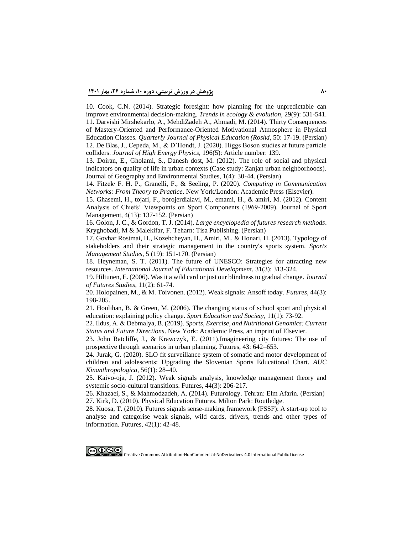[10. Cook, C.N. \(2014\). Strategic foresight: how planning for the unpredictable can](https://www.sciencedirect.com/science/article/abs/pii/S0169534714001566)  [improve environmental decision-making.](https://www.sciencedirect.com/science/article/abs/pii/S0169534714001566) *Trends in ecology & evolution*, 29(9): 531-541. [11. Darvishi Mirshekarlo, A., MehdiZadeh A., Ahmadi, M. \(2014\). Thirty Consequences](https://www.roshdmag.ir/fa/news/1555/%D8%AC%D9%88%D9%91-%D8%A7%D9%86%DA%AF%DB%8C%D8%B2%D8%B4%DB%8C-%D8%AF%D8%B1-%DA%A9%D9%84%D8%A7%D8%B3-%D9%88%D8%B1%D8%B2%D8%B4)  [of Mastery-Oriented and Performance-Oriented Motivational Atmosphere in Physical](https://www.roshdmag.ir/fa/news/1555/%D8%AC%D9%88%D9%91-%D8%A7%D9%86%DA%AF%DB%8C%D8%B2%D8%B4%DB%8C-%D8%AF%D8%B1-%DA%A9%D9%84%D8%A7%D8%B3-%D9%88%D8%B1%D8%B2%D8%B4)  Education Classes. *[Quarterly Journal of Physical Education \(Roshd](https://www.roshdmag.ir/fa/news/1555/%D8%AC%D9%88%D9%91-%D8%A7%D9%86%DA%AF%DB%8C%D8%B2%D8%B4%DB%8C-%D8%AF%D8%B1-%DA%A9%D9%84%D8%A7%D8%B3-%D9%88%D8%B1%D8%B2%D8%B4)*, 50: 17-19. (Persian) [12. De Blas, J., Cepeda, M., & D'Hondt, J. \(2020\). Higgs Boson studies at future particle](https://link.springer.com/article/10.1007/JHEP01(2020)139)  colliders. *[Journal of High Energy Physics,](https://link.springer.com/article/10.1007/JHEP01(2020)139)* 196(5): Article number: 139.

[13. Doiran, E., Gholami, S., Danesh dost, M. \(2012\). The role of social and physical](http://ensani.ir/fa/article/454624/%D9%86%D9%82%D8%B4-%D8%B4%D8%A7%D8%AE%D8%B5-%D9%87%D8%A7%DB%8C-%D8%A7%D8%AC%D8%AA%D9%85%D8%A7%D8%B9%DB%8C-%D9%88-%DA%A9%D8%A7%D9%84%D8%A8%D8%AF%DB%8C-%D8%A8%D8%B1-%DA%A9%DB%8C%D9%81%DB%8C%D8%AA-%D8%B2%D9%86%D8%AF%DA%AF%DB%8C-%D8%AF%D8%B1-%D8%A8%D8%A7%D9%81%D8%AA-%D9%87%D8%A7%DB%8C-%D8%B4%D9%87%D8%B1%DB%8C-%D9%85%D8%B7%D8%A7%D9%84%D8%B9%D9%87-%D9%85%D9%88%D8%B1%D8%AF%DB%8C-%D9%85%D8%AD%D9%84%D8%A7%D8%AA-%D8%B4%D9%87%D8%B1%DB%8C-%D8%B2%D9%86%D8%AC%D8%A7%D9%86-)  [indicators on quality of life in urban contexts \(Case study: Zanjan urban neighborhoods\).](http://ensani.ir/fa/article/454624/%D9%86%D9%82%D8%B4-%D8%B4%D8%A7%D8%AE%D8%B5-%D9%87%D8%A7%DB%8C-%D8%A7%D8%AC%D8%AA%D9%85%D8%A7%D8%B9%DB%8C-%D9%88-%DA%A9%D8%A7%D9%84%D8%A8%D8%AF%DB%8C-%D8%A8%D8%B1-%DA%A9%DB%8C%D9%81%DB%8C%D8%AA-%D8%B2%D9%86%D8%AF%DA%AF%DB%8C-%D8%AF%D8%B1-%D8%A8%D8%A7%D9%81%D8%AA-%D9%87%D8%A7%DB%8C-%D8%B4%D9%87%D8%B1%DB%8C-%D9%85%D8%B7%D8%A7%D9%84%D8%B9%D9%87-%D9%85%D9%88%D8%B1%D8%AF%DB%8C-%D9%85%D8%AD%D9%84%D8%A7%D8%AA-%D8%B4%D9%87%D8%B1%DB%8C-%D8%B2%D9%86%D8%AC%D8%A7%D9%86-)  Journal of Geography and Environmental Studies, 1(4): 30-44. (Persian)

14. Fitzek, F. H. P., [Granelli, F., & Seeling, P. \(2020\).](https://www.elsevier.com/books/computing-in-communication-networks/fitzek/978-0-12-820488-7) *Computing in Communication Networks: From Theory to Practice*. [New York/London: Academic Press \(Elsevier\).](https://www.elsevier.com/books/computing-in-communication-networks/fitzek/978-0-12-820488-7)

[15. Ghasemi, H., tojari, F., borojerdialavi, M., emami, H., & amiri, M. \(2012\). Content](https://jsm.ut.ac.ir/article_28717.html?lang=en)  [Analysis of Chiefs' Viewpoints on Sport Components \(1969-2009\). Journal of Sport](https://jsm.ut.ac.ir/article_28717.html?lang=en)  [Management, 4\(13\): 137-152. \(Persian\)](https://jsm.ut.ac.ir/article_28717.html?lang=en)

16. Golon, J. C., & Gordon, T. J. (2014). *[Large encyclopedia of futures research methods](https://www.gisoom.com/book/11115097/%DA%A9%D8%AA%D8%A7%D8%A8-%D8%AF%D8%A7%D9%86%D8%B4%D9%86%D8%A7%D9%85%D9%87-%D8%A8%D8%B2%D8%B1%DA%AF-%D8%B1%D9%88%D8%B4-%D9%87%D8%A7%DB%8C-%D8%A2%DB%8C%D9%86%D8%AF%D9%87-%D9%BE%DA%98%D9%88%D9%87%DB%8C-%D8%AC%D9%84%D8%AF-1/)*. [Kryghobadi, M & Malekifar, F.](https://www.gisoom.com/book/11115097/%DA%A9%D8%AA%D8%A7%D8%A8-%D8%AF%D8%A7%D9%86%D8%B4%D9%86%D8%A7%D9%85%D9%87-%D8%A8%D8%B2%D8%B1%DA%AF-%D8%B1%D9%88%D8%B4-%D9%87%D8%A7%DB%8C-%D8%A2%DB%8C%D9%86%D8%AF%D9%87-%D9%BE%DA%98%D9%88%D9%87%DB%8C-%D8%AC%D9%84%D8%AF-1/) Teharn: Tisa Publishing. (Persian)

[17. Govhar Rostmai, H., Kozehcheyan, H., Amiri, M., & Honari, H. \(2013\). Typology of](http://ensani.ir/fa/article/327525/%DA%AF%D9%88%D9%86%D9%87-%D8%B4%D9%86%D8%A7%D8%B3%DB%8C-%D8%B0%DB%8C-%D9%86%D9%81%D8%B9%D8%A7%D9%86-%D9%88-%D9%85%D8%AF%DB%8C%D8%B1%DB%8C%D8%AA-%D8%A7%D8%B3%D8%AA%D8%B1%D8%A7%D8%AA%DA%98%DB%8C%DA%A9-%D8%A2%D9%86-%D9%87%D8%A7-%D8%AF%D8%B1-%D8%B3%DB%8C%D8%B3%D8%AA%D9%85-%D9%88%D8%B1%D8%B2%D8%B4-%DA%A9%D8%B4%D9%88%D8%B1)  [stakeholders and their strategic management in the country's sports system.](http://ensani.ir/fa/article/327525/%DA%AF%D9%88%D9%86%D9%87-%D8%B4%D9%86%D8%A7%D8%B3%DB%8C-%D8%B0%DB%8C-%D9%86%D9%81%D8%B9%D8%A7%D9%86-%D9%88-%D9%85%D8%AF%DB%8C%D8%B1%DB%8C%D8%AA-%D8%A7%D8%B3%D8%AA%D8%B1%D8%A7%D8%AA%DA%98%DB%8C%DA%A9-%D8%A2%D9%86-%D9%87%D8%A7-%D8%AF%D8%B1-%D8%B3%DB%8C%D8%B3%D8%AA%D9%85-%D9%88%D8%B1%D8%B2%D8%B4-%DA%A9%D8%B4%D9%88%D8%B1) *Sports Management Studies,* [5 \(19\): 151-170. \(Persian\)](http://ensani.ir/fa/article/327525/%DA%AF%D9%88%D9%86%D9%87-%D8%B4%D9%86%D8%A7%D8%B3%DB%8C-%D8%B0%DB%8C-%D9%86%D9%81%D8%B9%D8%A7%D9%86-%D9%88-%D9%85%D8%AF%DB%8C%D8%B1%DB%8C%D8%AA-%D8%A7%D8%B3%D8%AA%D8%B1%D8%A7%D8%AA%DA%98%DB%8C%DA%A9-%D8%A2%D9%86-%D9%87%D8%A7-%D8%AF%D8%B1-%D8%B3%DB%8C%D8%B3%D8%AA%D9%85-%D9%88%D8%B1%D8%B2%D8%B4-%DA%A9%D8%B4%D9%88%D8%B1)

[18.](https://www.sciencedirect.com/science/article/abs/pii/S0738059310001641) [Heyneman, S. T. \(2011\). The future](https://www.sciencedirect.com/science/article/abs/pii/S0738059310001641) [of UNESCO: Strategies](https://www.sciencedirect.com/science/article/abs/pii/S0738059310001641) [for attracting new](https://www.sciencedirect.com/science/article/abs/pii/S0738059310001641) resources. *[International Journal of Educational Developmen](https://www.sciencedirect.com/science/article/abs/pii/S0738059310001641)*[t, 31\(3\): 313-324.](https://www.sciencedirect.com/science/article/abs/pii/S0738059310001641)

[19. Hiltunen, E. \(2006\). Was it a wild card or just our blindness to gradual change.](https://citeseerx.ist.psu.edu/viewdoc/download?doi=10.1.1.390.4099&rep=rep1&type=pdf) *Journal [of Futures Studies](https://citeseerx.ist.psu.edu/viewdoc/download?doi=10.1.1.390.4099&rep=rep1&type=pdf)*, 11(2): 61-74.

[20. Holopainen, M., & M. Toivonen. \(2012\). Weak signals: Ansoff today.](https://www.sciencedirect.com/science/article/pii/S0016328711002540) *Futures*, 44(3): [198-205.](https://www.sciencedirect.com/science/article/pii/S0016328711002540)

[21. Houlihan, B. & Green, M. \(2006\). The changing status of school sport and physical](https://www.tandfonline.com/doi/abs/10.1080/13573320500453495)  [education: explaining policy change.](https://www.tandfonline.com/doi/abs/10.1080/13573320500453495) *Sport Education and Society*, 11(1): 73-92.

22. Ildus, A. & Debmalya, B. (2019). *[Sports, Exercise, and Nutritional Genomics: Current](https://libsolutions.net/book/5409949/421a06)  Status and Future Directions*[. New York: Academic Press, an imprint of Elsevier.](https://libsolutions.net/book/5409949/421a06)

[23. John Ratcliffe, J., & Krawczyk, E. \(2011\).Imagineering city futures: The use of](https://www.sciencedirect.com/science/article/pii/S0016328711001121)  [prospective through scenarios in urban planning. Futures, 43: 642–653.](https://www.sciencedirect.com/science/article/pii/S0016328711001121)

[24. Jurak, G. \(2020\). SLO fit surveillance system of somatic and motor development of](https://karolinum.cz/casopis/auc-kinanthropologica/rocnik-56/cislo-1/clanek-8064)  [children and adolescents: Upgrading the Slovenian Sports Educational Chart.](https://karolinum.cz/casopis/auc-kinanthropologica/rocnik-56/cislo-1/clanek-8064) *AUC [Kinanthropologica](https://karolinum.cz/casopis/auc-kinanthropologica/rocnik-56/cislo-1/clanek-8064)*, 56(1): 28–40.

[25. Kaivo-oja, J. \(2012\). Weak signals analysis, knowledge management theory and](https://www.sciencedirect.com/science/article/abs/pii/S0016328711002552)  [systemic socio-cultural transitions. Futures, 44\(3\): 206-217.](https://www.sciencedirect.com/science/article/abs/pii/S0016328711002552)

[26. Khazaei, S., & Mahmodzadeh, A. \(2014\). Futurology. Tehran:](https://www.gisoom.com/book/11008648/%DA%A9%D8%AA%D8%A7%D8%A8-%D8%A2%DB%8C%D9%86%D8%AF%D9%87-%D9%BE%DA%98%D9%88%D9%87%DB%8C/) Elm Afarin. (Persian) [27. Kirk, D. \(2010\). Physical Education Futures. Milton Park:](https://www.taylorfrancis.com/books/mono/10.4324/9780203874622/physical-education-futures-david-kirk) Routledge.

[28. Kuosa, T. \(2010\). Futures signals sense-making framework \(FSSF\): A start-up tool to](https://www.sciencedirect.com/science/article/abs/pii/S0016328709001396)  analyse and categorise [weak signals, wild cards, drivers, trends and other types of](https://www.sciencedirect.com/science/article/abs/pii/S0016328709001396)  [information. Futures, 42\(1\): 42-48.](https://www.sciencedirect.com/science/article/abs/pii/S0016328709001396)

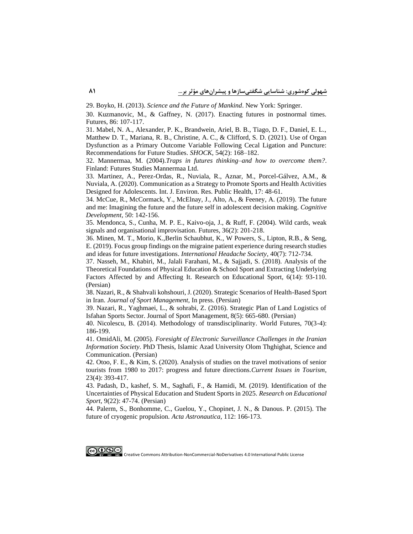[29. Boyko, H. \(2013\).](https://books.google.com/books?hl=en&lr=&id=o0j8CAAAQBAJ&oi=fnd&pg=PA1&dq=Science+and+the+Future+of+Mankind&ots=Tl_JOJVrdV&sig=3J4u4wbwseKXExKC8EdvABkLwXn1gmFdfs) *[Science and the Future of Mankind](https://books.google.com/books?hl=en&lr=&id=o0j8CAAAQBAJ&oi=fnd&pg=PA1&dq=Science+and+the+Future+of+Mankind&ots=Tl_JOJVrdV&sig=3J4u4wbwseKXExKC8EdvABkLwXn1gmFdfs)*. [New York:](https://books.google.com/books?hl=en&lr=&id=o0j8CAAAQBAJ&oi=fnd&pg=PA1&dq=Science+and+the+Future+of+Mankind&ots=Tl_JOJVrdV&sig=3J4u4wbwseKXExKC8EdvABkLwXn1gmFdfs) Springer.

[30. Kuzmanovic, M., & Gaffney, N. \(2017\). Enacting futures in postnormal times.](https://www.sciencedirect.com/science/article/pii/S0016328716301379)  [Futures, 86: 107-117.](https://www.sciencedirect.com/science/article/pii/S0016328716301379)

[31. Mabel, N. A., Alexander, P. K., Brandwein, Ariel, B. B., Tiago, D. F., Daniel, E. L.,](https://www.ncbi.nlm.nih.gov/pmc/articles/PMC7987105/) [Matthew D. T., Mariana, R. B., Christine, A.](https://www.ncbi.nlm.nih.gov/pmc/articles/PMC7987105/) C., & Clifford, S. D. (2021). Use of Organ [Dysfunction as a Primary Outcome Variable Following Cecal Ligation and Puncture:](https://www.ncbi.nlm.nih.gov/pmc/articles/PMC7987105/)  [Recommendations for Future Studies.](https://www.ncbi.nlm.nih.gov/pmc/articles/PMC7987105/) *SHOCK*, 54(2): 168–182.

32. Mannermaa, M. (2004).*[Traps in futures thinking–and how to overcome them?](https://www.google.com/url?sa=t&rct=j&q=&esrc=s&source=web&cd=&cad=rja&uact=8&ved=2ahUKEwj99-399aL3AhUw_7sIHcxnBaEQFnoECAMQAQ&url=http%3A%2F%2Fhomes.jamk.fi%2F~huojo%2Fopetus%2Fyii7s%2Ftraps_ft.pdf&usg=AOvVaw12o3kdztqAxxW2cTXAqNx-)*. [Finland: Futures Studies Mannermaa Ltd.](https://www.google.com/url?sa=t&rct=j&q=&esrc=s&source=web&cd=&cad=rja&uact=8&ved=2ahUKEwj99-399aL3AhUw_7sIHcxnBaEQFnoECAMQAQ&url=http%3A%2F%2Fhomes.jamk.fi%2F~huojo%2Fopetus%2Fyii7s%2Ftraps_ft.pdf&usg=AOvVaw12o3kdztqAxxW2cTXAqNx-)

[33. Martinez, A., Perez-Ordas, R., Nuviala, R., Aznar, M., Porcel-Gálvez, A.M., &](https://www.ncbi.nlm.nih.gov/pmc/articles/PMC7369904/)  [Nuviala, A. \(2020\). Communication as a Strategy to Promote Sports and Health Activities](https://www.ncbi.nlm.nih.gov/pmc/articles/PMC7369904/)  [Designed for Adolescents. Int. J. Environ. Res. Public Health, 17: 48-61.](https://www.ncbi.nlm.nih.gov/pmc/articles/PMC7369904/)

[34.](https://pure.qub.ac.uk/en/publications/the-future-and-me-imagining-the-future-and-the-future-self-in-ado) [McCue, R., McCormack, Y., McElnay, J., Alto, A., &](https://pure.qub.ac.uk/en/publications/the-future-and-me-imagining-the-future-and-the-future-self-in-ado) [Feeney,](https://pure.qub.ac.uk/en/publications/the-future-and-me-imagining-the-future-and-the-future-self-in-ado) [A. \(2019\).](https://pure.qub.ac.uk/en/publications/the-future-and-me-imagining-the-future-and-the-future-self-in-ado) [The future](https://pure.qub.ac.uk/en/publications/the-future-and-me-imagining-the-future-and-the-future-self-in-ado)  [and me: Imagining the future and the](https://pure.qub.ac.uk/en/publications/the-future-and-me-imagining-the-future-and-the-future-self-in-ado) [future self in adolescent decision making.](https://pure.qub.ac.uk/en/publications/the-future-and-me-imagining-the-future-and-the-future-self-in-ado) *[Cognitive](https://pure.qub.ac.uk/en/publications/the-future-and-me-imagining-the-future-and-the-future-self-in-ado)  [Development,](https://pure.qub.ac.uk/en/publications/the-future-and-me-imagining-the-future-and-the-future-self-in-ado)* [50: 142-156.](https://pure.qub.ac.uk/en/publications/the-future-and-me-imagining-the-future-and-the-future-self-in-ado)

[35. Mendonca, S., Cunha, M. P. E., Kaivo-oja, J., & Ruff, F.](https://novaresearch.unl.pt/en/publications/wild-cards-weak-signals-and-organisational-improvisation) (2004). Wild cards, weak [signals and organisational improvisation. Futures, 36\(2\): 201-218.](https://novaresearch.unl.pt/en/publications/wild-cards-weak-signals-and-organisational-improvisation)

[36. Minen, M. T., Morio, K.,Berlin Schaubhut,](https://journals.sagepub.com/doi/abs/10.1177/0333102419888230) [K., W Powers,](https://journals.sagepub.com/doi/abs/10.1177/0333102419888230) [S., Lipton,](https://journals.sagepub.com/doi/abs/10.1177/0333102419888230) [R.B., & Seng,](https://journals.sagepub.com/doi/abs/10.1177/0333102419888230) [E. \(2019\).](https://journals.sagepub.com/doi/abs/10.1177/0333102419888230) [Focus group findings on the migraine patient experience during research studies](https://journals.sagepub.com/doi/abs/10.1177/0333102419888230)  [and ideas for future investigations.](https://journals.sagepub.com/doi/abs/10.1177/0333102419888230) *[International Headache Society](https://journals.sagepub.com/doi/abs/10.1177/0333102419888230)*, 40(7): 712-734.

[37. Nasseh, M., Khabiri, M., Jalali Farahani, M., & Sajjadi, S. \(2018\). Analysis of the](https://res.ssrc.ac.ir/article_1173.html?lang=en)  [Theoretical Foundations of Physical Education & School Sport and Extracting Underlying](https://res.ssrc.ac.ir/article_1173.html?lang=en)  [Factors Affected by and Affecting It. Research on Educational Sport, 6\(14\): 93-110.](https://res.ssrc.ac.ir/article_1173.html?lang=en)  [\(Persian\)](https://res.ssrc.ac.ir/article_1173.html?lang=en)

38. Nazari, R., & Shahvali kohshouri, J. (2020). Strategic Scenarios of Health-Based Sport in Iran. *Journal of Sport Management,* In press. (Persian)

[39. Nazari, R., Yaghmaei, L., & sohrabi, Z. \(2016\). Strategic Plan of Land Logistics of](https://jsm.ut.ac.ir/article_60240.html?lang=en)  [Isfahan Sports Sector. Journal of Sport Management, 8\(5\): 665-680. \(Persian\)](https://jsm.ut.ac.ir/article_60240.html?lang=en)

[40. Nicolescu, B. \(2014\). Methodology of transdisciplinarity. World Futures, 70\(3-4\):](https://www.tandfonline.com/doi/abs/10.1080/02604027.2014.934631)  [186-199.](https://www.tandfonline.com/doi/abs/10.1080/02604027.2014.934631)

41. OmidAli, M. (2005). *Foresight of Electronic Surveillance Challenges in the Iranian Information Society*. PhD Thesis, Islamic Azad University Olom Thghighat, Science and Communication. (Persian)

[42. Otoo, F. E., & Kim, S. \(2020\). Analysis of studies on the travel motivations of senior](https://www.tandfonline.com/doi/abs/10.1080/13683500.2018.1540560)  [tourists from 1980 to 2017: progress and future directions.](https://www.tandfonline.com/doi/abs/10.1080/13683500.2018.1540560)*Current Issues in Tourism*, [23\(4\): 393-417.](https://www.tandfonline.com/doi/abs/10.1080/13683500.2018.1540560)

43. [Padash, D., kashef, S. M., Saghafi, F., & Hamidi, M. \(2019\). Identification of the](https://res.ssrc.ac.ir/article_1824.html?lang=en)  [Uncertainties of Physical Education and Student Sports in 2025.](https://res.ssrc.ac.ir/article_1824.html?lang=en) *Research on Educational Sport*[, 9\(22\): 47-74. \(Persian\)](https://res.ssrc.ac.ir/article_1824.html?lang=en)

[44. Palerm, S., Bonhomme, C., Guelou, Y., Chopinet, J. N., & Danous. P. \(2015\). The](https://www.sciencedirect.com/science/article/abs/pii/S0094576515000685)  [future of cryogenic propulsion.](https://www.sciencedirect.com/science/article/abs/pii/S0094576515000685) *Acta Astronautica,* 112: 166-173.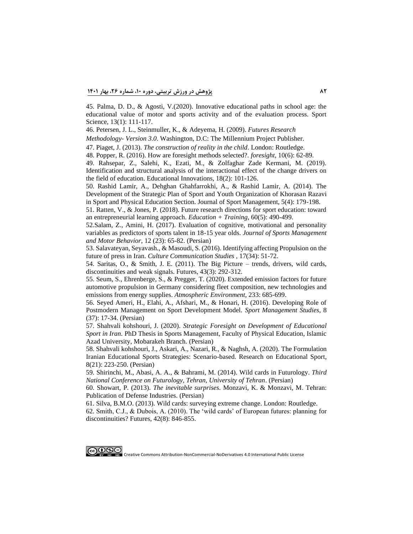[45. Palma, D. D., & Agosti, V.\(2020\). Innovative educational paths in school age: the](https://www.sposci.com/PDFS/BR13S1/04%20CL%2017%20DD.pdf)  [educational value of motor and sports activity and of the evaluation process. Sport](https://www.sposci.com/PDFS/BR13S1/04%20CL%2017%20DD.pdf)  [Science, 13\(1\):](https://www.sposci.com/PDFS/BR13S1/04%20CL%2017%20DD.pdf) 111-117.

[46. Petersen, J. L., Steinmuller, K., & Adeyema, H. \(2009\).](https://www.millennium-project.org/publications-2/futures-research-methodology-version-3-0/) *Futures Research* 

*Methodology*- *Version 3.0*[. Washington, D.C: The Millennium Project](https://www.millennium-project.org/publications-2/futures-research-methodology-version-3-0/) Publisher.

47. Piaget, J. (2013). *[The construction of reality in the child](https://www.routledge.com/The-Construction-Of-Reality-In-The-Child/iaget-Jean/p/book/9780415846752)*. London: Routledge.

[48. Popper, R. \(2016\). How are foresight methods selected?.](https://www.research.manchester.ac.uk/portal/en/publications/how-are-foresight-methods-selected(315ebd27-ca3b-40e1-b7ad-bd19d3510af5)/export.html) *foresight*, 10(6): 62-89.

[49. Rahsepar, Z., Salehi, K., Ezati, M., & Zolfaghar Zade Kermani, M. \(2019\).](http://noavaryedu.oerp.ir/article_92888.html?lang=en)  [Identification and structural analysis of the interactional effect of the change drivers on](http://noavaryedu.oerp.ir/article_92888.html?lang=en)  [the field of education. Educational Innovations, 18\(2\): 101-126.](http://noavaryedu.oerp.ir/article_92888.html?lang=en)

[50. Rashid Lamir, A., Dehghan Ghahfarrokhi, A., & Rashid Lamir, A. \(2014\). The](https://jsm.ut.ac.ir/article_36227.html?lang=en)  [Development of the Strategic Plan of Sport and Youth Organization of Khorasan Razavi](https://jsm.ut.ac.ir/article_36227.html?lang=en)  [in Sport and Physical Education Section. Journal of Sport Management, 5\(4\): 179-198.](https://jsm.ut.ac.ir/article_36227.html?lang=en)

[51. Ratten, V., & Jones, P. \(2018\). Future research directions for sport education: toward](https://pureportal.coventry.ac.uk/en/publications/future-research-directions-for-sport-education-towards-an-entrepr)  [an entrepreneurial learning approach.](https://pureportal.coventry.ac.uk/en/publications/future-research-directions-for-sport-education-towards-an-entrepr) *Education + Training*, 60(5): 490-499.

[52.Salam, Z., Amini, H. \(2017\). Evaluation of cognitive, motivational and personality](http://msb.journals.umz.ac.ir/article_1140.html?lang=fa)  [variables as predictors of sports talent in 18-15 year olds.](http://msb.journals.umz.ac.ir/article_1140.html?lang=fa) *Journal of Sports Management and Motor Behavior*[, 12 \(23\): 65-82. \(Persian\)](http://msb.journals.umz.ac.ir/article_1140.html?lang=fa)

[53. Salavateyan, Seyavash., & Masoudi, S. \(2016\). Identifying affecting Propulsion on the](http://www.jccs.ir/article_23949.html?lang=fa)  future of press in Iran. *[Culture Communication Studies](http://www.jccs.ir/article_23949.html?lang=fa)* , 17(34): 51-72.

[54. Saritas, O., & Smith, J. E. \(2011\). The Big Picture –](https://www.infona.pl/resource/bwmeta1.element.elsevier-46f54794-0bbd-3f2b-b59a-414d8c1c21fe) trends, drivers, wild cards, [discontinuities and weak signals. Futures, 43\(3\): 292-312.](https://www.infona.pl/resource/bwmeta1.element.elsevier-46f54794-0bbd-3f2b-b59a-414d8c1c21fe)

[55. Seum, S.,](https://www.sciencedirect.com/science/article/abs/pii/S1352231020303034) [Ehrenberge, S., & Pregger, T. \(2020\). Extended emission factors for future](https://www.sciencedirect.com/science/article/abs/pii/S1352231020303034) [automotive](https://www.sciencedirect.com/science/article/abs/pii/S1352231020303034) [propulsion in Germany considering fleet](https://www.sciencedirect.com/science/article/abs/pii/S1352231020303034) [composition, new technologies and](https://www.sciencedirect.com/science/article/abs/pii/S1352231020303034)  [emissions from energy supplies.](https://www.sciencedirect.com/science/article/abs/pii/S1352231020303034) *[Atmospheric Environment,](https://www.sciencedirect.com/science/article/abs/pii/S1352231020303034)* [233: 685-699.](https://www.sciencedirect.com/science/article/abs/pii/S1352231020303034)

[56. Seyed Ameri, H., Elahi, A., Afshari, M., & Honari, H. \(2016\). Developing Role of](https://smrj.ssrc.ac.ir/article_817.html?lang=en)  [Postmodern Management on Sport Development Model.](https://smrj.ssrc.ac.ir/article_817.html?lang=en) *Sport Management Studies*, 8 [\(37\): 17-34. \(Persian\)](https://smrj.ssrc.ac.ir/article_817.html?lang=en)

57. Shahvali kohshouri, J. (2020). *Strategic Foresight on Development of Educational Sport in Iran*. PhD Thesis in Sports Management, Faculty of Physical Education, Islamic Azad University, Mobarakeh Branch. (Persian)

[58. Shahvali kohshouri, J., Askari, A., Nazari, R., & Naghsh, A. \(2020\). The Formulation](https://res.ssrc.ac.ir/article_2080.html?lang=en)  [Iranian Educational Sports Strategies: Scenario-based. Research on Educational Sport,](https://res.ssrc.ac.ir/article_2080.html?lang=en)  [8\(21\): 223-250. \(Persian\)](https://res.ssrc.ac.ir/article_2080.html?lang=en)

[59. Shirinchi, M., Abasi, A. A., & Bahrami, M. \(2014\). Wild cards in Futurology.](https://www.sid.ir/fa/seminar/ViewPaper.aspx?ID=17248) *Third [National Conference on Futurology, Tehran, University of Tehran](https://www.sid.ir/fa/seminar/ViewPaper.aspx?ID=17248)*. (Persian)

60. Showart, P. (2013). *The inevitable surprises*[. Monzavi, K. & Monzavi, M.](https://www.gisoom.com/book/11616681/%DA%A9%D8%AA%D8%A7%D8%A8-%D8%B4%DA%AF%D9%81%D8%AA%DB%8C-%D9%87%D8%A7%DB%8C-%D8%A7%D8%AC%D8%AA%D9%86%D8%A7%D8%A8-%D9%86%D8%A7%D9%BE%D8%B0%DB%8C%D8%B1/) Tehran : [Publication of Defense Industries.](https://www.gisoom.com/book/11616681/%DA%A9%D8%AA%D8%A7%D8%A8-%D8%B4%DA%AF%D9%81%D8%AA%DB%8C-%D9%87%D8%A7%DB%8C-%D8%A7%D8%AC%D8%AA%D9%86%D8%A7%D8%A8-%D9%86%D8%A7%D9%BE%D8%B0%DB%8C%D8%B1/) (Persian)

[61. Silva, B.M.O. \(2013\). Wild cards: surveying extreme change. London: Routledge.](https://repositorio.iscte-iul.pt/handle/10071/6477)

62[. Smith, C.J., & Dubois, A. \(2010\). The 'wild cards' of European futures: planning for](https://www.semanticscholar.org/paper/The-%E2%80%98Wild-Cards%E2%80%99-of-European-futures%3A-Planning-for-Smith-Dubois/0f360cc21cc785751190e422a6329a055e9cacc0)  [discontinuities? Futures, 42\(8\): 846-855.](https://www.semanticscholar.org/paper/The-%E2%80%98Wild-Cards%E2%80%99-of-European-futures%3A-Planning-for-Smith-Dubois/0f360cc21cc785751190e422a6329a055e9cacc0)